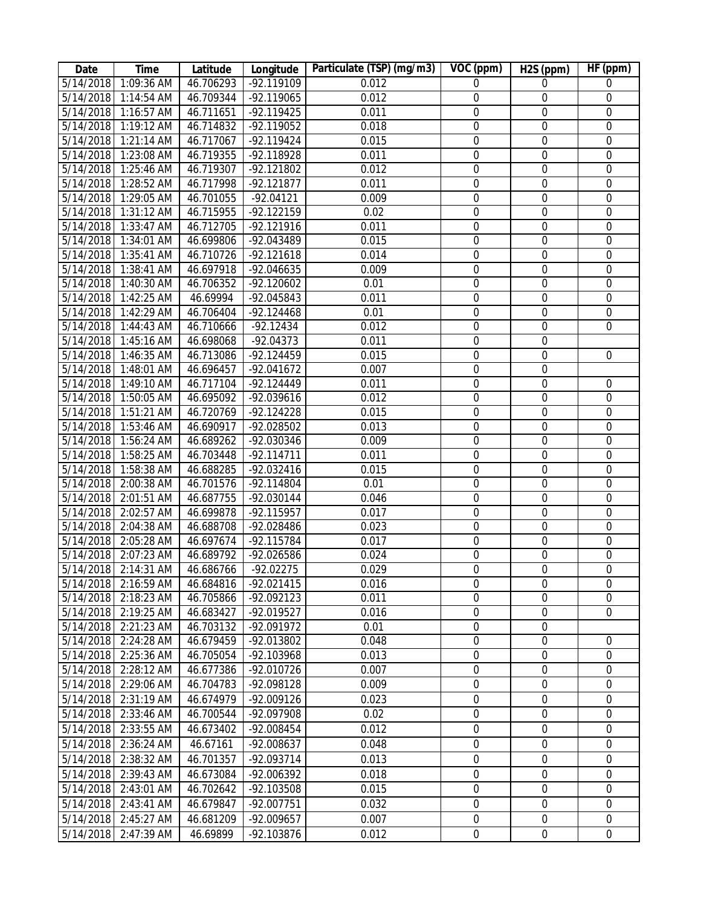| Date      | <b>Time</b>          | Latitude  | Longitude    | Particulate (TSP) (mg/m3) | VOC (ppm)        | H <sub>2</sub> S (ppm) | HF(ppm)          |
|-----------|----------------------|-----------|--------------|---------------------------|------------------|------------------------|------------------|
| 5/14/2018 | $1:09:36$ AM         | 46.706293 | $-92.119109$ | 0.012                     | 0                | $\mathbf 0$            | $\mathbf 0$      |
|           | 5/14/2018 1:14:54 AM | 46.709344 | -92.119065   | 0.012                     | $\boldsymbol{0}$ | $\boldsymbol{0}$       | $\boldsymbol{0}$ |
|           | 5/14/2018 1:16:57 AM | 46.711651 | -92.119425   | 0.011                     | $\boldsymbol{0}$ | $\mathbf 0$            | $\boldsymbol{0}$ |
|           | 5/14/2018 1:19:12 AM | 46.714832 | -92.119052   | 0.018                     | $\boldsymbol{0}$ | $\mathbf 0$            | $\mathbf 0$      |
|           | 5/14/2018 1:21:14 AM | 46.717067 | -92.119424   | 0.015                     | $\boldsymbol{0}$ | $\boldsymbol{0}$       | $\mathbf 0$      |
|           | 5/14/2018 1:23:08 AM | 46.719355 | -92.118928   | 0.011                     | $\boldsymbol{0}$ | $\mathbf 0$            | $\mathbf 0$      |
|           | 5/14/2018 1:25:46 AM | 46.719307 | -92.121802   | 0.012                     | $\mathbf 0$      | $\mathbf 0$            | $\mathbf 0$      |
|           | 5/14/2018 1:28:52 AM | 46.717998 | $-92.121877$ | 0.011                     | $\mathbf 0$      | $\mathbf 0$            | $\mathbf 0$      |
|           | 5/14/2018 1:29:05 AM | 46.701055 | $-92.04121$  | 0.009                     | $\boldsymbol{0}$ | $\mathbf 0$            | $\mathbf 0$      |
|           | 5/14/2018 1:31:12 AM | 46.715955 | -92.122159   | 0.02                      | $\mathbf 0$      | $\mathbf 0$            | $\mathbf 0$      |
|           | 5/14/2018 1:33:47 AM | 46.712705 | $-92.121916$ | 0.011                     | $\overline{0}$   | $\boldsymbol{0}$       | $\mathbf 0$      |
| 5/14/2018 | 1:34:01 AM           | 46.699806 | -92.043489   | 0.015                     | $\overline{0}$   | $\overline{0}$         | $\overline{0}$   |
|           | 5/14/2018 1:35:41 AM | 46.710726 | $-92.121618$ | 0.014                     | $\boldsymbol{0}$ | $\boldsymbol{0}$       | $\boldsymbol{0}$ |
|           | 5/14/2018 1:38:41 AM | 46.697918 | -92.046635   | 0.009                     | $\boldsymbol{0}$ | $\boldsymbol{0}$       | $\mathbf 0$      |
| 5/14/2018 | 1:40:30 AM           | 46.706352 | $-92.120602$ | 0.01                      | $\boldsymbol{0}$ | $\boldsymbol{0}$       | $\mathbf 0$      |
|           | 5/14/2018 1:42:25 AM | 46.69994  | -92.045843   | 0.011                     | $\boldsymbol{0}$ | $\boldsymbol{0}$       | $\mathbf 0$      |
|           | 5/14/2018 1:42:29 AM | 46.706404 | $-92.124468$ | 0.01                      | $\boldsymbol{0}$ | $\boldsymbol{0}$       | $\mathbf 0$      |
|           | 5/14/2018 1:44:43 AM | 46.710666 | $-92.12434$  | 0.012                     | $\mathbf 0$      | $\boldsymbol{0}$       | $\overline{0}$   |
|           | 5/14/2018 1:45:16 AM | 46.698068 | $-92.04373$  | 0.011                     | $\boldsymbol{0}$ | $\mathbf 0$            |                  |
|           | 5/14/2018 1:46:35 AM | 46.713086 | $-92.124459$ | 0.015                     | $\mathbf 0$      | $\mathbf 0$            | $\mathbf 0$      |
|           | 5/14/2018 1:48:01 AM | 46.696457 | $-92.041672$ | 0.007                     | $\mathbf 0$      | $\boldsymbol{0}$       |                  |
|           | 5/14/2018 1:49:10 AM | 46.717104 | -92.124449   | 0.011                     | $\mathbf 0$      | $\mathbf 0$            | $\mathbf 0$      |
|           | 5/14/2018 1:50:05 AM | 46.695092 | -92.039616   | 0.012                     | $\boldsymbol{0}$ | $\boldsymbol{0}$       | $\mathbf 0$      |
|           | 5/14/2018 1:51:21 AM | 46.720769 | $-92.124228$ | 0.015                     | $\boldsymbol{0}$ | $\boldsymbol{0}$       | $\boldsymbol{0}$ |
|           | 5/14/2018 1:53:46 AM | 46.690917 | -92.028502   | 0.013                     | $\boldsymbol{0}$ | $\boldsymbol{0}$       | $\boldsymbol{0}$ |
|           | 5/14/2018 1:56:24 AM | 46.689262 | -92.030346   | 0.009                     | $\boldsymbol{0}$ | $\mathbf 0$            | $\boldsymbol{0}$ |
|           | 5/14/2018 1:58:25 AM | 46.703448 | $-92.114711$ | 0.011                     | $\boldsymbol{0}$ | $\boldsymbol{0}$       | $\boldsymbol{0}$ |
|           | 5/14/2018 1:58:38 AM | 46.688285 | -92.032416   | 0.015                     | $\boldsymbol{0}$ | $\boldsymbol{0}$       | $\mathbf 0$      |
|           | 5/14/2018 2:00:38 AM | 46.701576 | -92.114804   | 0.01                      | $\boldsymbol{0}$ | $\boldsymbol{0}$       | $\mathbf 0$      |
|           | 5/14/2018 2:01:51 AM | 46.687755 | -92.030144   | 0.046                     | $\boldsymbol{0}$ | $\boldsymbol{0}$       | $\mathbf 0$      |
|           | 5/14/2018 2:02:57 AM | 46.699878 | -92.115957   | 0.017                     | $\boldsymbol{0}$ | $\mathbf 0$            | $\mathbf 0$      |
|           | 5/14/2018 2:04:38 AM | 46.688708 | -92.028486   | 0.023                     | $\mathbf 0$      | $\mathbf 0$            | $\mathbf 0$      |
|           | 5/14/2018 2:05:28 AM | 46.697674 | $-92.115784$ | 0.017                     | $\boldsymbol{0}$ | $\boldsymbol{0}$       | $\boldsymbol{0}$ |
| 5/14/2018 | 2:07:23 AM           | 46.689792 | -92.026586   | 0.024                     | $\boldsymbol{0}$ | $\boldsymbol{0}$       | $\boldsymbol{0}$ |
|           | 5/14/2018 2:14:31 AM | 46.686766 | $-92.02275$  | 0.029                     | $\mathbf 0$      | $\mathbf 0$            | $\mathbf 0$      |
|           | 5/14/2018 2:16:59 AM | 46.684816 | -92.021415   | 0.016                     | 0                | $\boldsymbol{0}$       | $\mathbf 0$      |
| 5/14/2018 | 2:18:23 AM           | 46.705866 | -92.092123   | 0.011                     | 0                | $\boldsymbol{0}$       | $\mathbf 0$      |
| 5/14/2018 | 2:19:25 AM           | 46.683427 | -92.019527   | 0.016                     | $\boldsymbol{0}$ | $\boldsymbol{0}$       | $\mathbf 0$      |
| 5/14/2018 | 2:21:23 AM           | 46.703132 | -92.091972   | 0.01                      | $\boldsymbol{0}$ | $\boldsymbol{0}$       |                  |
| 5/14/2018 | 2:24:28 AM           | 46.679459 | -92.013802   | 0.048                     | 0                | $\boldsymbol{0}$       | 0                |
| 5/14/2018 | $2:25:36$ AM         | 46.705054 | -92.103968   | 0.013                     | 0                | $\boldsymbol{0}$       | $\mathbf 0$      |
|           | 5/14/2018 2:28:12 AM | 46.677386 | -92.010726   | 0.007                     | 0                | $\boldsymbol{0}$       | $\mathbf 0$      |
|           | 5/14/2018 2:29:06 AM | 46.704783 | -92.098128   | 0.009                     | 0                | $\mathbf 0$            | $\mathbf 0$      |
| 5/14/2018 | 2:31:19 AM           | 46.674979 | -92.009126   | 0.023                     | $\boldsymbol{0}$ | $\overline{0}$         | $\mathbf 0$      |
| 5/14/2018 | 2:33:46 AM           | 46.700544 | -92.097908   | 0.02                      | 0                | $\boldsymbol{0}$       | $\mathbf 0$      |
| 5/14/2018 | 2:33:55 AM           | 46.673402 | -92.008454   | 0.012                     | 0                | $\mathbf 0$            | 0                |
| 5/14/2018 | 2:36:24 AM           | 46.67161  | -92.008637   | 0.048                     | 0                | 0                      | 0                |
| 5/14/2018 | 2:38:32 AM           | 46.701357 | -92.093714   | 0.013                     | $\boldsymbol{0}$ | $\mathbf 0$            | $\mathbf 0$      |
| 5/14/2018 | 2:39:43 AM           | 46.673084 | -92.006392   | 0.018                     | 0                | $\mathbf 0$            | $\mathbf 0$      |
| 5/14/2018 | 2:43:01 AM           | 46.702642 | -92.103508   | 0.015                     | 0                | $\mathbf 0$            | $\mathbf 0$      |
| 5/14/2018 | 2:43:41 AM           | 46.679847 | -92.007751   | 0.032                     | 0                | $\boldsymbol{0}$       | $\mathbf 0$      |
| 5/14/2018 | 2:45:27 AM           | 46.681209 | -92.009657   | 0.007                     | $\boldsymbol{0}$ | $\boldsymbol{0}$       | $\boldsymbol{0}$ |
|           | 5/14/2018 2:47:39 AM | 46.69899  | -92.103876   | 0.012                     | $\boldsymbol{0}$ | $\boldsymbol{0}$       | $\boldsymbol{0}$ |
|           |                      |           |              |                           |                  |                        |                  |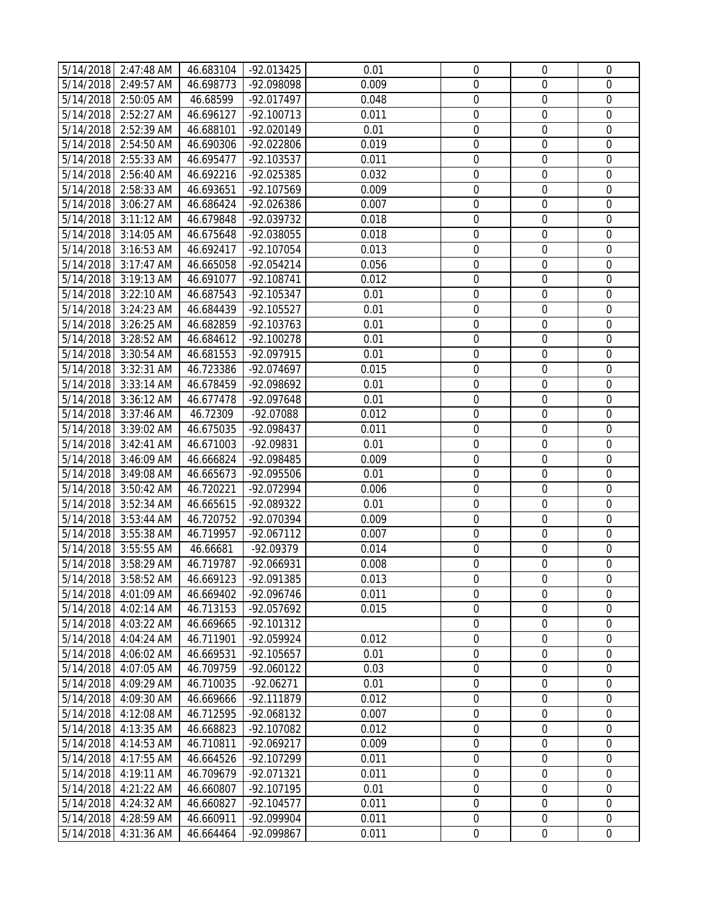|           | 5/14/2018 2:47:48 AM | 46.683104 | -92.013425   | 0.01  | $\mathbf 0$      | $\mathbf 0$      | $\mathbf 0$      |
|-----------|----------------------|-----------|--------------|-------|------------------|------------------|------------------|
|           | 5/14/2018 2:49:57 AM | 46.698773 | -92.098098   | 0.009 | $\mathbf 0$      | $\mathbf 0$      | $\mathbf 0$      |
|           | 5/14/2018 2:50:05 AM | 46.68599  | -92.017497   | 0.048 | $\mathbf 0$      | $\boldsymbol{0}$ | $\mathbf 0$      |
| 5/14/2018 | 2:52:27 AM           | 46.696127 | $-92.100713$ | 0.011 | $\mathbf 0$      | $\mathbf 0$      | $\mathbf 0$      |
| 5/14/2018 | 2:52:39 AM           | 46.688101 | -92.020149   | 0.01  | $\boldsymbol{0}$ | $\boldsymbol{0}$ | $\mathbf 0$      |
| 5/14/2018 | 2:54:50 AM           | 46.690306 | -92.022806   | 0.019 | $\boldsymbol{0}$ | $\boldsymbol{0}$ | $\boldsymbol{0}$ |
| 5/14/2018 | 2:55:33 AM           | 46.695477 | -92.103537   | 0.011 | $\boldsymbol{0}$ | $\mathbf 0$      | $\mathbf 0$      |
|           | 5/14/2018 2:56:40 AM | 46.692216 | -92.025385   | 0.032 | $\mathbf 0$      | $\boldsymbol{0}$ | $\mathbf 0$      |
|           | 5/14/2018 2:58:33 AM | 46.693651 | -92.107569   | 0.009 | $\mathbf 0$      | $\mathbf 0$      | $\mathbf 0$      |
|           | 5/14/2018 3:06:27 AM | 46.686424 | -92.026386   | 0.007 | $\boldsymbol{0}$ | $\boldsymbol{0}$ | $\boldsymbol{0}$ |
|           | 5/14/2018 3:11:12 AM | 46.679848 | -92.039732   | 0.018 | $\boldsymbol{0}$ | $\boldsymbol{0}$ | $\boldsymbol{0}$ |
|           | 5/14/2018 3:14:05 AM | 46.675648 | -92.038055   | 0.018 | $\boldsymbol{0}$ | $\boldsymbol{0}$ | $\mathbf 0$      |
|           | 5/14/2018 3:16:53 AM | 46.692417 | -92.107054   | 0.013 | $\mathbf 0$      | $\mathbf 0$      | $\mathbf 0$      |
|           | 5/14/2018 3:17:47 AM | 46.665058 | $-92.054214$ | 0.056 | 0                | $\boldsymbol{0}$ | $\mathbf 0$      |
| 5/14/2018 | 3:19:13 AM           | 46.691077 | -92.108741   | 0.012 | $\mathbf 0$      | $\mathbf 0$      | $\mathbf 0$      |
| 5/14/2018 | 3:22:10 AM           | 46.687543 | -92.105347   | 0.01  | $\boldsymbol{0}$ | $\boldsymbol{0}$ | $\mathbf 0$      |
| 5/14/2018 | 3:24:23 AM           | 46.684439 | -92.105527   | 0.01  | $\boldsymbol{0}$ | $\boldsymbol{0}$ | $\boldsymbol{0}$ |
| 5/14/2018 | 3:26:25 AM           | 46.682859 | -92.103763   | 0.01  | $\boldsymbol{0}$ | $\mathbf 0$      | $\mathbf 0$      |
|           | 5/14/2018 3:28:52 AM | 46.684612 | $-92.100278$ | 0.01  | $\boldsymbol{0}$ | $\boldsymbol{0}$ | $\mathbf 0$      |
|           | 5/14/2018 3:30:54 AM | 46.681553 | -92.097915   | 0.01  | 0                | $\mathbf 0$      | $\mathbf 0$      |
|           | 5/14/2018 3:32:31 AM | 46.723386 | -92.074697   | 0.015 | $\mathbf 0$      | $\boldsymbol{0}$ | $\boldsymbol{0}$ |
|           | 5/14/2018 3:33:14 AM | 46.678459 | -92.098692   | 0.01  | $\boldsymbol{0}$ | $\boldsymbol{0}$ | $\boldsymbol{0}$ |
| 5/14/2018 | 3:36:12 AM           | 46.677478 | -92.097648   | 0.01  | $\boldsymbol{0}$ | $\boldsymbol{0}$ | $\mathbf 0$      |
|           | 5/14/2018 3:37:46 AM | 46.72309  | -92.07088    | 0.012 | $\mathbf 0$      | $\mathbf 0$      | $\mathbf 0$      |
|           | 5/14/2018 3:39:02 AM | 46.675035 | -92.098437   | 0.011 | $\mathbf 0$      | $\mathbf 0$      | $\mathbf 0$      |
| 5/14/2018 | 3:42:41 AM           | 46.671003 | -92.09831    | 0.01  | 0                | $\boldsymbol{0}$ | $\mathbf 0$      |
| 5/14/2018 | 3:46:09 AM           | 46.666824 | -92.098485   | 0.009 | $\boldsymbol{0}$ | $\boldsymbol{0}$ | $\mathbf 0$      |
| 5/14/2018 | 3:49:08 AM           | 46.665673 | -92.095506   | 0.01  | $\boldsymbol{0}$ | $\boldsymbol{0}$ | $\boldsymbol{0}$ |
| 5/14/2018 | 3:50:42 AM           | 46.720221 | -92.072994   | 0.006 | $\boldsymbol{0}$ | $\boldsymbol{0}$ | $\mathbf 0$      |
|           | 5/14/2018 3:52:34 AM | 46.665615 | -92.089322   | 0.01  | $\boldsymbol{0}$ | $\boldsymbol{0}$ | $\boldsymbol{0}$ |
|           | 5/14/2018 3:53:44 AM | 46.720752 | -92.070394   | 0.009 | $\mathbf 0$      | $\mathbf 0$      | $\mathbf 0$      |
|           | 5/14/2018 3:55:38 AM | 46.719957 | $-92.067112$ | 0.007 | $\mathbf 0$      | $\boldsymbol{0}$ | $\boldsymbol{0}$ |
| 5/14/2018 | 3:55:55 AM           | 46.66681  | -92.09379    | 0.014 | $\boldsymbol{0}$ | $\boldsymbol{0}$ | $\boldsymbol{0}$ |
| 5/14/2018 | 3:58:29 AM           | 46.719787 | -92.066931   | 0.008 | $\mathbf 0$      | $\mathbf 0$      | $\mathbf 0$      |
|           | 5/14/2018 3:58:52 AM | 46.669123 | -92.091385   | 0.013 | $\boldsymbol{0}$ | 0                | 0                |
| 5/14/2018 | 4:01:09 AM           | 46.669402 | -92.096746   | 0.011 | $\Omega$         | $\Omega$         | 0                |
| 5/14/2018 | 4:02:14 AM           | 46.713153 | -92.057692   | 0.015 | $\mathbf 0$      | $\boldsymbol{0}$ | $\mathbf 0$      |
| 5/14/2018 | 4:03:22 AM           | 46.669665 | $-92.101312$ |       | $\mathbf 0$      | $\boldsymbol{0}$ | $\mathbf 0$      |
| 5/14/2018 | 4:04:24 AM           | 46.711901 | -92.059924   | 0.012 | 0                | 0                | 0                |
| 5/14/2018 | 4:06:02 AM           | 46.669531 | $-92.105657$ | 0.01  | 0                | 0                | $\mathbf 0$      |
| 5/14/2018 | 4:07:05 AM           | 46.709759 | $-92.060122$ | 0.03  | $\boldsymbol{0}$ | $\mathbf 0$      | $\mathbf 0$      |
| 5/14/2018 | 4:09:29 AM           | 46.710035 | $-92.06271$  | 0.01  | 0                | 0                | 0                |
| 5/14/2018 | 4:09:30 AM           | 46.669666 | -92.111879   | 0.012 | $\boldsymbol{0}$ | $\boldsymbol{0}$ | $\mathbf 0$      |
| 5/14/2018 | 4:12:08 AM           | 46.712595 | -92.068132   | 0.007 | $\boldsymbol{0}$ | $\boldsymbol{0}$ | $\boldsymbol{0}$ |
| 5/14/2018 | 4:13:35 AM           | 46.668823 | -92.107082   | 0.012 | 0                | 0                | 0                |
| 5/14/2018 | 4:14:53 AM           | 46.710811 | $-92.069217$ | 0.009 | $\boldsymbol{0}$ | $\boldsymbol{0}$ | $\mathbf 0$      |
| 5/14/2018 | 4:17:55 AM           | 46.664526 | -92.107299   | 0.011 | 0                | 0                | $\mathbf 0$      |
| 5/14/2018 | 4:19:11 AM           | 46.709679 | -92.071321   | 0.011 | $\mathbf 0$      | $\mathbf 0$      | $\mathbf 0$      |
| 5/14/2018 | 4:21:22 AM           | 46.660807 | -92.107195   | 0.01  | $\mathbf 0$      | $\boldsymbol{0}$ | $\mathbf 0$      |
| 5/14/2018 | 4:24:32 AM           | 46.660827 | $-92.104577$ | 0.011 | $\boldsymbol{0}$ | 0                | $\boldsymbol{0}$ |
| 5/14/2018 | 4:28:59 AM           | 46.660911 | -92.099904   | 0.011 | 0                | $\mathbf 0$      | $\mathbf 0$      |
| 5/14/2018 | 4:31:36 AM           | 46.664464 | -92.099867   | 0.011 | $\boldsymbol{0}$ | $\boldsymbol{0}$ | $\boldsymbol{0}$ |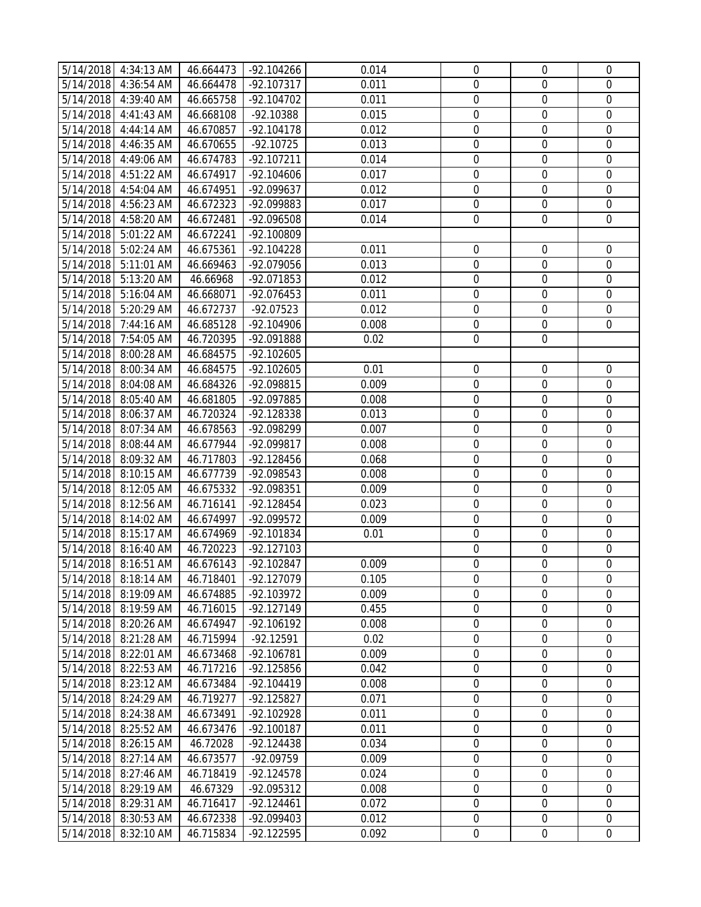| 5/14/2018 4:34:13 AM<br>$\mathbf 0$<br>$\mathbf 0$<br>$\mathbf 0$<br>5/14/2018 4:36:54 AM<br>46.664478<br>-92.107317<br>0.011<br>$\mathbf 0$<br>5/14/2018 4:39:40 AM<br>46.665758<br>$-92.104702$<br>0.011<br>$\boldsymbol{0}$<br>$\mathbf 0$<br>5/14/2018<br>4:41:43 AM<br>46.668108<br>-92.10388<br>0.015<br>$\mathbf 0$<br>$\mathbf 0$<br>$\mathbf 0$<br>5/14/2018<br>4:44:14 AM<br>46.670857<br>$-92.104178$<br>0.012<br>$\boldsymbol{0}$<br>$\boldsymbol{0}$<br>$\mathbf 0$<br>$\boldsymbol{0}$<br>$\boldsymbol{0}$<br>$\boldsymbol{0}$<br>5/14/2018<br>4:46:35 AM<br>46.670655<br>$-92.10725$<br>0.013<br>5/14/2018 4:49:06 AM<br>46.674783<br>-92.107211<br>$\boldsymbol{0}$<br>$\mathbf 0$<br>$\mathbf 0$<br>0.014<br>$\boldsymbol{0}$<br>$\boldsymbol{0}$<br>5/14/2018 4:51:22 AM<br>46.674917<br>$-92.104606$<br>0.017<br>$\boldsymbol{0}$<br>$\mathbf 0$<br>$\mathbf 0$<br>$\mathbf 0$<br>5/14/2018 4:54:04 AM<br>-92.099637<br>0.012<br>46.674951<br>$\boldsymbol{0}$<br>5/14/2018 4:56:23 AM<br>46.672323<br>-92.099883<br>$\boldsymbol{0}$<br>$\overline{0}$<br>0.017<br>5/14/2018 4:58:20 AM<br>-92.096508<br>$\boldsymbol{0}$<br>$\boldsymbol{0}$<br>$\boldsymbol{0}$<br>46.672481<br>0.014<br>5/14/2018 5:01:22 AM<br>46.672241<br>-92.100809<br>5/14/2018 5:02:24 AM<br>$-92.104228$<br>$\mathbf 0$<br>46.675361<br>0.011<br>$\mathbf 0$<br>$\mathbf 0$<br>5/14/2018 5:11:01 AM<br>46.669463<br>-92.079056<br>0.013<br>$\mathbf 0$<br>$\mathbf 0$<br>$\mathbf 0$<br>5/14/2018<br>$\mathbf 0$<br>$\mathbf 0$<br>$\mathbf 0$<br>5:13:20 AM<br>46.66968<br>-92.071853<br>0.012<br>$\boldsymbol{0}$<br>$\boldsymbol{0}$<br>$\mathbf 0$<br>5/14/2018<br>5:16:04 AM<br>46.668071<br>-92.076453<br>0.011<br>5/14/2018<br>5:20:29 AM<br>46.672737<br>-92.07523<br>$\boldsymbol{0}$<br>$\boldsymbol{0}$<br>$\boldsymbol{0}$<br>0.012<br>5/14/2018<br>7:44:16 AM<br>46.685128<br>-92.104906<br>$\boldsymbol{0}$<br>$\mathbf 0$<br>$\mathbf 0$<br>0.008<br>5/14/2018 7:54:05 AM<br>46.720395<br>-92.091888<br>0.02<br>$\mathbf 0$<br>$\mathbf 0$<br>5/14/2018 8:00:28 AM<br>46.684575<br>$-92.102605$<br>5/14/2018 8:00:34 AM<br>46.684575<br>$-92.102605$<br>0.01<br>$\boldsymbol{0}$<br>$\boldsymbol{0}$<br>$\boldsymbol{0}$<br>5/14/2018 8:04:08 AM<br>46.684326<br>-92.098815<br>0.009<br>$\boldsymbol{0}$<br>$\boldsymbol{0}$<br>$\boldsymbol{0}$<br>5/14/2018 8:05:40 AM<br>$\boldsymbol{0}$<br>$\mathbf 0$<br>46.681805<br>-92.097885<br>0.008<br>$\boldsymbol{0}$<br>5/14/2018 8:06:37 AM<br>-92.128338<br>$\mathbf 0$<br>$\mathbf 0$<br>$\mathbf 0$<br>46.720324<br>0.013<br>5/14/2018 8:07:34 AM<br>-92.098299<br>$\mathbf 0$<br>$\mathbf 0$<br>$\mathbf 0$<br>46.678563<br>0.007<br>$\mathbf 0$<br>$\boldsymbol{0}$<br>$\mathbf 0$<br>5/14/2018<br>8:08:44 AM<br>46.677944<br>-92.099817<br>0.008<br>$\boldsymbol{0}$<br>$\boldsymbol{0}$<br>$\mathbf 0$<br>5/14/2018<br>8:09:32 AM<br>46.717803<br>$-92.128456$<br>0.068<br>5/14/2018<br>8:10:15 AM<br>46.677739<br>0.008<br>$\boldsymbol{0}$<br>$\boldsymbol{0}$<br>$\boldsymbol{0}$<br>-92.098543<br>5/14/2018<br>8:12:05 AM<br>46.675332<br>-92.098351<br>$\boldsymbol{0}$<br>$\boldsymbol{0}$<br>$\mathbf 0$<br>0.009<br>$\boldsymbol{0}$<br>5/14/2018 8:12:56 AM<br>46.716141<br>$-92.128454$<br>$\boldsymbol{0}$<br>$\boldsymbol{0}$<br>0.023<br>$\mathbf 0$<br>$\mathbf 0$<br>5/14/2018 8:14:02 AM<br>$\mathbf 0$<br>46.674997<br>-92.099572<br>0.009<br>$\boldsymbol{0}$<br>$\boldsymbol{0}$<br>$\boldsymbol{0}$<br>5/14/2018 8:15:17 AM<br>46.674969<br>-92.101834<br>0.01<br>5/14/2018<br>8:16:40 AM<br>46.720223<br>$-92.127103$<br>$\boldsymbol{0}$<br>$\boldsymbol{0}$<br>$\boldsymbol{0}$<br>$\mathbf 0$<br>$\mathbf 0$<br>$\mathbf 0$<br>5/14/2018<br>8:16:51 AM<br>46.676143<br>-92.102847<br>0.009<br>5/14/2018 8:18:14 AM<br>46.718401<br>-92.127079<br>0.105<br>$\boldsymbol{0}$<br>0<br>0<br>5/14/2018<br>8:19:09 AM<br>-92.103972<br>0.009<br>$\Omega$<br>$\Omega$<br>0<br>46.674885<br>46.716015<br>0.455<br>0<br>$\boldsymbol{0}$<br>$\mathbf 0$<br>5/14/2018<br>8:19:59 AM<br>$-92.127149$<br>$\mathbf 0$<br>$\boldsymbol{0}$<br>$\mathbf 0$<br>5/14/2018<br>8:20:26 AM<br>$-92.106192$<br>0.008<br>46.674947<br>5/14/2018<br>8:21:28 AM<br>46.715994<br>$-92.12591$<br>0.02<br>0<br>0<br>0<br>5/14/2018<br>8:22:01 AM<br>46.673468<br>-92.106781<br>0.009<br>0<br>$\mathbf 0$<br>$\mathbf 0$<br>5/14/2018<br>8:22:53 AM<br>46.717216<br>-92.125856<br>$\boldsymbol{0}$<br>$\mathbf 0$<br>0.042<br>$\mathbf 0$<br>0<br>0<br>0<br>5/14/2018<br>8:23:12 AM<br>46.673484<br>$-92.104419$<br>0.008<br>5/14/2018<br>8:24:29 AM<br>$-92.125827$<br>$\boldsymbol{0}$<br>46.719277<br>0.071<br>$\boldsymbol{0}$<br>$\mathbf 0$<br>$\boldsymbol{0}$<br>5/14/2018<br>8:24:38 AM<br>46.673491<br>-92.102928<br>0.011<br>$\boldsymbol{0}$<br>$\boldsymbol{0}$<br>5/14/2018<br>8:25:52 AM<br>46.673476<br>$-92.100187$<br>0<br>0<br>0<br>0.011<br>5/14/2018<br>8:26:15 AM<br>46.72028<br>$-92.124438$<br>$\boldsymbol{0}$<br>$\mathbf 0$<br>0.034<br>$\boldsymbol{0}$<br>5/14/2018<br>8:27:14 AM<br>46.673577<br>-92.09759<br>0.009<br>0<br>0<br>$\mathbf 0$<br>$\mathbf 0$<br>$\mathbf 0$<br>8:27:46 AM<br>0.024<br>$\mathbf 0$<br>5/14/2018<br>46.718419<br>$-92.124578$<br>$\mathbf 0$<br>$\boldsymbol{0}$<br>$\mathbf 0$<br>5/14/2018<br>0.008<br>8:29:19 AM<br>46.67329<br>-92.095312<br>5/14/2018<br>$\boldsymbol{0}$<br>8:29:31 AM<br>46.716417<br>$-92.124461$<br>0.072<br>0<br>$\boldsymbol{0}$<br>5/14/2018<br>8:30:53 AM<br>46.672338<br>-92.099403<br>0.012<br>$\boldsymbol{0}$<br>$\mathbf 0$<br>$\mathbf 0$<br>5/14/2018<br>8:32:10 AM<br>0.092<br>$\boldsymbol{0}$<br>$\boldsymbol{0}$<br>46.715834<br>-92.122595<br>$\boldsymbol{0}$ |  |           |              |       |             |             |             |
|------------------------------------------------------------------------------------------------------------------------------------------------------------------------------------------------------------------------------------------------------------------------------------------------------------------------------------------------------------------------------------------------------------------------------------------------------------------------------------------------------------------------------------------------------------------------------------------------------------------------------------------------------------------------------------------------------------------------------------------------------------------------------------------------------------------------------------------------------------------------------------------------------------------------------------------------------------------------------------------------------------------------------------------------------------------------------------------------------------------------------------------------------------------------------------------------------------------------------------------------------------------------------------------------------------------------------------------------------------------------------------------------------------------------------------------------------------------------------------------------------------------------------------------------------------------------------------------------------------------------------------------------------------------------------------------------------------------------------------------------------------------------------------------------------------------------------------------------------------------------------------------------------------------------------------------------------------------------------------------------------------------------------------------------------------------------------------------------------------------------------------------------------------------------------------------------------------------------------------------------------------------------------------------------------------------------------------------------------------------------------------------------------------------------------------------------------------------------------------------------------------------------------------------------------------------------------------------------------------------------------------------------------------------------------------------------------------------------------------------------------------------------------------------------------------------------------------------------------------------------------------------------------------------------------------------------------------------------------------------------------------------------------------------------------------------------------------------------------------------------------------------------------------------------------------------------------------------------------------------------------------------------------------------------------------------------------------------------------------------------------------------------------------------------------------------------------------------------------------------------------------------------------------------------------------------------------------------------------------------------------------------------------------------------------------------------------------------------------------------------------------------------------------------------------------------------------------------------------------------------------------------------------------------------------------------------------------------------------------------------------------------------------------------------------------------------------------------------------------------------------------------------------------------------------------------------------------------------------------------------------------------------------------------------------------------------------------------------------------------------------------------------------------------------------------------------------------------------------------------------------------------------------------------------------------------------------------------------------------------------------------------------------------------------------------------------------------------------------------------------------------------------------------------------------------------------------------------------------------------------------------------------------------------------------------------------------------------------------------------------------------------------------------------------------------------------------------------------------------------------------------------------------------------------------------------------------------------------------------------------------------------------------------------------------------------------------------------------------------------------------------------------------------------------------------------------------------------------------------------------------------------------------------------------------------------------------------------------------------------------------------------------------------------------------------------------------------------------------------|--|-----------|--------------|-------|-------------|-------------|-------------|
|                                                                                                                                                                                                                                                                                                                                                                                                                                                                                                                                                                                                                                                                                                                                                                                                                                                                                                                                                                                                                                                                                                                                                                                                                                                                                                                                                                                                                                                                                                                                                                                                                                                                                                                                                                                                                                                                                                                                                                                                                                                                                                                                                                                                                                                                                                                                                                                                                                                                                                                                                                                                                                                                                                                                                                                                                                                                                                                                                                                                                                                                                                                                                                                                                                                                                                                                                                                                                                                                                                                                                                                                                                                                                                                                                                                                                                                                                                                                                                                                                                                                                                                                                                                                                                                                                                                                                                                                                                                                                                                                                                                                                                                                                                                                                                                                                                                                                                                                                                                                                                                                                                                                                                                                                                                                                                                                                                                                                                                                                                                                                                                                                                                                                                                                    |  | 46.664473 | $-92.104266$ | 0.014 | $\mathbf 0$ | $\mathbf 0$ | $\mathbf 0$ |
|                                                                                                                                                                                                                                                                                                                                                                                                                                                                                                                                                                                                                                                                                                                                                                                                                                                                                                                                                                                                                                                                                                                                                                                                                                                                                                                                                                                                                                                                                                                                                                                                                                                                                                                                                                                                                                                                                                                                                                                                                                                                                                                                                                                                                                                                                                                                                                                                                                                                                                                                                                                                                                                                                                                                                                                                                                                                                                                                                                                                                                                                                                                                                                                                                                                                                                                                                                                                                                                                                                                                                                                                                                                                                                                                                                                                                                                                                                                                                                                                                                                                                                                                                                                                                                                                                                                                                                                                                                                                                                                                                                                                                                                                                                                                                                                                                                                                                                                                                                                                                                                                                                                                                                                                                                                                                                                                                                                                                                                                                                                                                                                                                                                                                                                                    |  |           |              |       |             |             |             |
|                                                                                                                                                                                                                                                                                                                                                                                                                                                                                                                                                                                                                                                                                                                                                                                                                                                                                                                                                                                                                                                                                                                                                                                                                                                                                                                                                                                                                                                                                                                                                                                                                                                                                                                                                                                                                                                                                                                                                                                                                                                                                                                                                                                                                                                                                                                                                                                                                                                                                                                                                                                                                                                                                                                                                                                                                                                                                                                                                                                                                                                                                                                                                                                                                                                                                                                                                                                                                                                                                                                                                                                                                                                                                                                                                                                                                                                                                                                                                                                                                                                                                                                                                                                                                                                                                                                                                                                                                                                                                                                                                                                                                                                                                                                                                                                                                                                                                                                                                                                                                                                                                                                                                                                                                                                                                                                                                                                                                                                                                                                                                                                                                                                                                                                                    |  |           |              |       |             |             |             |
|                                                                                                                                                                                                                                                                                                                                                                                                                                                                                                                                                                                                                                                                                                                                                                                                                                                                                                                                                                                                                                                                                                                                                                                                                                                                                                                                                                                                                                                                                                                                                                                                                                                                                                                                                                                                                                                                                                                                                                                                                                                                                                                                                                                                                                                                                                                                                                                                                                                                                                                                                                                                                                                                                                                                                                                                                                                                                                                                                                                                                                                                                                                                                                                                                                                                                                                                                                                                                                                                                                                                                                                                                                                                                                                                                                                                                                                                                                                                                                                                                                                                                                                                                                                                                                                                                                                                                                                                                                                                                                                                                                                                                                                                                                                                                                                                                                                                                                                                                                                                                                                                                                                                                                                                                                                                                                                                                                                                                                                                                                                                                                                                                                                                                                                                    |  |           |              |       |             |             |             |
|                                                                                                                                                                                                                                                                                                                                                                                                                                                                                                                                                                                                                                                                                                                                                                                                                                                                                                                                                                                                                                                                                                                                                                                                                                                                                                                                                                                                                                                                                                                                                                                                                                                                                                                                                                                                                                                                                                                                                                                                                                                                                                                                                                                                                                                                                                                                                                                                                                                                                                                                                                                                                                                                                                                                                                                                                                                                                                                                                                                                                                                                                                                                                                                                                                                                                                                                                                                                                                                                                                                                                                                                                                                                                                                                                                                                                                                                                                                                                                                                                                                                                                                                                                                                                                                                                                                                                                                                                                                                                                                                                                                                                                                                                                                                                                                                                                                                                                                                                                                                                                                                                                                                                                                                                                                                                                                                                                                                                                                                                                                                                                                                                                                                                                                                    |  |           |              |       |             |             |             |
|                                                                                                                                                                                                                                                                                                                                                                                                                                                                                                                                                                                                                                                                                                                                                                                                                                                                                                                                                                                                                                                                                                                                                                                                                                                                                                                                                                                                                                                                                                                                                                                                                                                                                                                                                                                                                                                                                                                                                                                                                                                                                                                                                                                                                                                                                                                                                                                                                                                                                                                                                                                                                                                                                                                                                                                                                                                                                                                                                                                                                                                                                                                                                                                                                                                                                                                                                                                                                                                                                                                                                                                                                                                                                                                                                                                                                                                                                                                                                                                                                                                                                                                                                                                                                                                                                                                                                                                                                                                                                                                                                                                                                                                                                                                                                                                                                                                                                                                                                                                                                                                                                                                                                                                                                                                                                                                                                                                                                                                                                                                                                                                                                                                                                                                                    |  |           |              |       |             |             |             |
|                                                                                                                                                                                                                                                                                                                                                                                                                                                                                                                                                                                                                                                                                                                                                                                                                                                                                                                                                                                                                                                                                                                                                                                                                                                                                                                                                                                                                                                                                                                                                                                                                                                                                                                                                                                                                                                                                                                                                                                                                                                                                                                                                                                                                                                                                                                                                                                                                                                                                                                                                                                                                                                                                                                                                                                                                                                                                                                                                                                                                                                                                                                                                                                                                                                                                                                                                                                                                                                                                                                                                                                                                                                                                                                                                                                                                                                                                                                                                                                                                                                                                                                                                                                                                                                                                                                                                                                                                                                                                                                                                                                                                                                                                                                                                                                                                                                                                                                                                                                                                                                                                                                                                                                                                                                                                                                                                                                                                                                                                                                                                                                                                                                                                                                                    |  |           |              |       |             |             |             |
|                                                                                                                                                                                                                                                                                                                                                                                                                                                                                                                                                                                                                                                                                                                                                                                                                                                                                                                                                                                                                                                                                                                                                                                                                                                                                                                                                                                                                                                                                                                                                                                                                                                                                                                                                                                                                                                                                                                                                                                                                                                                                                                                                                                                                                                                                                                                                                                                                                                                                                                                                                                                                                                                                                                                                                                                                                                                                                                                                                                                                                                                                                                                                                                                                                                                                                                                                                                                                                                                                                                                                                                                                                                                                                                                                                                                                                                                                                                                                                                                                                                                                                                                                                                                                                                                                                                                                                                                                                                                                                                                                                                                                                                                                                                                                                                                                                                                                                                                                                                                                                                                                                                                                                                                                                                                                                                                                                                                                                                                                                                                                                                                                                                                                                                                    |  |           |              |       |             |             |             |
|                                                                                                                                                                                                                                                                                                                                                                                                                                                                                                                                                                                                                                                                                                                                                                                                                                                                                                                                                                                                                                                                                                                                                                                                                                                                                                                                                                                                                                                                                                                                                                                                                                                                                                                                                                                                                                                                                                                                                                                                                                                                                                                                                                                                                                                                                                                                                                                                                                                                                                                                                                                                                                                                                                                                                                                                                                                                                                                                                                                                                                                                                                                                                                                                                                                                                                                                                                                                                                                                                                                                                                                                                                                                                                                                                                                                                                                                                                                                                                                                                                                                                                                                                                                                                                                                                                                                                                                                                                                                                                                                                                                                                                                                                                                                                                                                                                                                                                                                                                                                                                                                                                                                                                                                                                                                                                                                                                                                                                                                                                                                                                                                                                                                                                                                    |  |           |              |       |             |             |             |
|                                                                                                                                                                                                                                                                                                                                                                                                                                                                                                                                                                                                                                                                                                                                                                                                                                                                                                                                                                                                                                                                                                                                                                                                                                                                                                                                                                                                                                                                                                                                                                                                                                                                                                                                                                                                                                                                                                                                                                                                                                                                                                                                                                                                                                                                                                                                                                                                                                                                                                                                                                                                                                                                                                                                                                                                                                                                                                                                                                                                                                                                                                                                                                                                                                                                                                                                                                                                                                                                                                                                                                                                                                                                                                                                                                                                                                                                                                                                                                                                                                                                                                                                                                                                                                                                                                                                                                                                                                                                                                                                                                                                                                                                                                                                                                                                                                                                                                                                                                                                                                                                                                                                                                                                                                                                                                                                                                                                                                                                                                                                                                                                                                                                                                                                    |  |           |              |       |             |             |             |
|                                                                                                                                                                                                                                                                                                                                                                                                                                                                                                                                                                                                                                                                                                                                                                                                                                                                                                                                                                                                                                                                                                                                                                                                                                                                                                                                                                                                                                                                                                                                                                                                                                                                                                                                                                                                                                                                                                                                                                                                                                                                                                                                                                                                                                                                                                                                                                                                                                                                                                                                                                                                                                                                                                                                                                                                                                                                                                                                                                                                                                                                                                                                                                                                                                                                                                                                                                                                                                                                                                                                                                                                                                                                                                                                                                                                                                                                                                                                                                                                                                                                                                                                                                                                                                                                                                                                                                                                                                                                                                                                                                                                                                                                                                                                                                                                                                                                                                                                                                                                                                                                                                                                                                                                                                                                                                                                                                                                                                                                                                                                                                                                                                                                                                                                    |  |           |              |       |             |             |             |
|                                                                                                                                                                                                                                                                                                                                                                                                                                                                                                                                                                                                                                                                                                                                                                                                                                                                                                                                                                                                                                                                                                                                                                                                                                                                                                                                                                                                                                                                                                                                                                                                                                                                                                                                                                                                                                                                                                                                                                                                                                                                                                                                                                                                                                                                                                                                                                                                                                                                                                                                                                                                                                                                                                                                                                                                                                                                                                                                                                                                                                                                                                                                                                                                                                                                                                                                                                                                                                                                                                                                                                                                                                                                                                                                                                                                                                                                                                                                                                                                                                                                                                                                                                                                                                                                                                                                                                                                                                                                                                                                                                                                                                                                                                                                                                                                                                                                                                                                                                                                                                                                                                                                                                                                                                                                                                                                                                                                                                                                                                                                                                                                                                                                                                                                    |  |           |              |       |             |             |             |
|                                                                                                                                                                                                                                                                                                                                                                                                                                                                                                                                                                                                                                                                                                                                                                                                                                                                                                                                                                                                                                                                                                                                                                                                                                                                                                                                                                                                                                                                                                                                                                                                                                                                                                                                                                                                                                                                                                                                                                                                                                                                                                                                                                                                                                                                                                                                                                                                                                                                                                                                                                                                                                                                                                                                                                                                                                                                                                                                                                                                                                                                                                                                                                                                                                                                                                                                                                                                                                                                                                                                                                                                                                                                                                                                                                                                                                                                                                                                                                                                                                                                                                                                                                                                                                                                                                                                                                                                                                                                                                                                                                                                                                                                                                                                                                                                                                                                                                                                                                                                                                                                                                                                                                                                                                                                                                                                                                                                                                                                                                                                                                                                                                                                                                                                    |  |           |              |       |             |             |             |
|                                                                                                                                                                                                                                                                                                                                                                                                                                                                                                                                                                                                                                                                                                                                                                                                                                                                                                                                                                                                                                                                                                                                                                                                                                                                                                                                                                                                                                                                                                                                                                                                                                                                                                                                                                                                                                                                                                                                                                                                                                                                                                                                                                                                                                                                                                                                                                                                                                                                                                                                                                                                                                                                                                                                                                                                                                                                                                                                                                                                                                                                                                                                                                                                                                                                                                                                                                                                                                                                                                                                                                                                                                                                                                                                                                                                                                                                                                                                                                                                                                                                                                                                                                                                                                                                                                                                                                                                                                                                                                                                                                                                                                                                                                                                                                                                                                                                                                                                                                                                                                                                                                                                                                                                                                                                                                                                                                                                                                                                                                                                                                                                                                                                                                                                    |  |           |              |       |             |             |             |
|                                                                                                                                                                                                                                                                                                                                                                                                                                                                                                                                                                                                                                                                                                                                                                                                                                                                                                                                                                                                                                                                                                                                                                                                                                                                                                                                                                                                                                                                                                                                                                                                                                                                                                                                                                                                                                                                                                                                                                                                                                                                                                                                                                                                                                                                                                                                                                                                                                                                                                                                                                                                                                                                                                                                                                                                                                                                                                                                                                                                                                                                                                                                                                                                                                                                                                                                                                                                                                                                                                                                                                                                                                                                                                                                                                                                                                                                                                                                                                                                                                                                                                                                                                                                                                                                                                                                                                                                                                                                                                                                                                                                                                                                                                                                                                                                                                                                                                                                                                                                                                                                                                                                                                                                                                                                                                                                                                                                                                                                                                                                                                                                                                                                                                                                    |  |           |              |       |             |             |             |
|                                                                                                                                                                                                                                                                                                                                                                                                                                                                                                                                                                                                                                                                                                                                                                                                                                                                                                                                                                                                                                                                                                                                                                                                                                                                                                                                                                                                                                                                                                                                                                                                                                                                                                                                                                                                                                                                                                                                                                                                                                                                                                                                                                                                                                                                                                                                                                                                                                                                                                                                                                                                                                                                                                                                                                                                                                                                                                                                                                                                                                                                                                                                                                                                                                                                                                                                                                                                                                                                                                                                                                                                                                                                                                                                                                                                                                                                                                                                                                                                                                                                                                                                                                                                                                                                                                                                                                                                                                                                                                                                                                                                                                                                                                                                                                                                                                                                                                                                                                                                                                                                                                                                                                                                                                                                                                                                                                                                                                                                                                                                                                                                                                                                                                                                    |  |           |              |       |             |             |             |
|                                                                                                                                                                                                                                                                                                                                                                                                                                                                                                                                                                                                                                                                                                                                                                                                                                                                                                                                                                                                                                                                                                                                                                                                                                                                                                                                                                                                                                                                                                                                                                                                                                                                                                                                                                                                                                                                                                                                                                                                                                                                                                                                                                                                                                                                                                                                                                                                                                                                                                                                                                                                                                                                                                                                                                                                                                                                                                                                                                                                                                                                                                                                                                                                                                                                                                                                                                                                                                                                                                                                                                                                                                                                                                                                                                                                                                                                                                                                                                                                                                                                                                                                                                                                                                                                                                                                                                                                                                                                                                                                                                                                                                                                                                                                                                                                                                                                                                                                                                                                                                                                                                                                                                                                                                                                                                                                                                                                                                                                                                                                                                                                                                                                                                                                    |  |           |              |       |             |             |             |
|                                                                                                                                                                                                                                                                                                                                                                                                                                                                                                                                                                                                                                                                                                                                                                                                                                                                                                                                                                                                                                                                                                                                                                                                                                                                                                                                                                                                                                                                                                                                                                                                                                                                                                                                                                                                                                                                                                                                                                                                                                                                                                                                                                                                                                                                                                                                                                                                                                                                                                                                                                                                                                                                                                                                                                                                                                                                                                                                                                                                                                                                                                                                                                                                                                                                                                                                                                                                                                                                                                                                                                                                                                                                                                                                                                                                                                                                                                                                                                                                                                                                                                                                                                                                                                                                                                                                                                                                                                                                                                                                                                                                                                                                                                                                                                                                                                                                                                                                                                                                                                                                                                                                                                                                                                                                                                                                                                                                                                                                                                                                                                                                                                                                                                                                    |  |           |              |       |             |             |             |
|                                                                                                                                                                                                                                                                                                                                                                                                                                                                                                                                                                                                                                                                                                                                                                                                                                                                                                                                                                                                                                                                                                                                                                                                                                                                                                                                                                                                                                                                                                                                                                                                                                                                                                                                                                                                                                                                                                                                                                                                                                                                                                                                                                                                                                                                                                                                                                                                                                                                                                                                                                                                                                                                                                                                                                                                                                                                                                                                                                                                                                                                                                                                                                                                                                                                                                                                                                                                                                                                                                                                                                                                                                                                                                                                                                                                                                                                                                                                                                                                                                                                                                                                                                                                                                                                                                                                                                                                                                                                                                                                                                                                                                                                                                                                                                                                                                                                                                                                                                                                                                                                                                                                                                                                                                                                                                                                                                                                                                                                                                                                                                                                                                                                                                                                    |  |           |              |       |             |             |             |
|                                                                                                                                                                                                                                                                                                                                                                                                                                                                                                                                                                                                                                                                                                                                                                                                                                                                                                                                                                                                                                                                                                                                                                                                                                                                                                                                                                                                                                                                                                                                                                                                                                                                                                                                                                                                                                                                                                                                                                                                                                                                                                                                                                                                                                                                                                                                                                                                                                                                                                                                                                                                                                                                                                                                                                                                                                                                                                                                                                                                                                                                                                                                                                                                                                                                                                                                                                                                                                                                                                                                                                                                                                                                                                                                                                                                                                                                                                                                                                                                                                                                                                                                                                                                                                                                                                                                                                                                                                                                                                                                                                                                                                                                                                                                                                                                                                                                                                                                                                                                                                                                                                                                                                                                                                                                                                                                                                                                                                                                                                                                                                                                                                                                                                                                    |  |           |              |       |             |             |             |
|                                                                                                                                                                                                                                                                                                                                                                                                                                                                                                                                                                                                                                                                                                                                                                                                                                                                                                                                                                                                                                                                                                                                                                                                                                                                                                                                                                                                                                                                                                                                                                                                                                                                                                                                                                                                                                                                                                                                                                                                                                                                                                                                                                                                                                                                                                                                                                                                                                                                                                                                                                                                                                                                                                                                                                                                                                                                                                                                                                                                                                                                                                                                                                                                                                                                                                                                                                                                                                                                                                                                                                                                                                                                                                                                                                                                                                                                                                                                                                                                                                                                                                                                                                                                                                                                                                                                                                                                                                                                                                                                                                                                                                                                                                                                                                                                                                                                                                                                                                                                                                                                                                                                                                                                                                                                                                                                                                                                                                                                                                                                                                                                                                                                                                                                    |  |           |              |       |             |             |             |
|                                                                                                                                                                                                                                                                                                                                                                                                                                                                                                                                                                                                                                                                                                                                                                                                                                                                                                                                                                                                                                                                                                                                                                                                                                                                                                                                                                                                                                                                                                                                                                                                                                                                                                                                                                                                                                                                                                                                                                                                                                                                                                                                                                                                                                                                                                                                                                                                                                                                                                                                                                                                                                                                                                                                                                                                                                                                                                                                                                                                                                                                                                                                                                                                                                                                                                                                                                                                                                                                                                                                                                                                                                                                                                                                                                                                                                                                                                                                                                                                                                                                                                                                                                                                                                                                                                                                                                                                                                                                                                                                                                                                                                                                                                                                                                                                                                                                                                                                                                                                                                                                                                                                                                                                                                                                                                                                                                                                                                                                                                                                                                                                                                                                                                                                    |  |           |              |       |             |             |             |
|                                                                                                                                                                                                                                                                                                                                                                                                                                                                                                                                                                                                                                                                                                                                                                                                                                                                                                                                                                                                                                                                                                                                                                                                                                                                                                                                                                                                                                                                                                                                                                                                                                                                                                                                                                                                                                                                                                                                                                                                                                                                                                                                                                                                                                                                                                                                                                                                                                                                                                                                                                                                                                                                                                                                                                                                                                                                                                                                                                                                                                                                                                                                                                                                                                                                                                                                                                                                                                                                                                                                                                                                                                                                                                                                                                                                                                                                                                                                                                                                                                                                                                                                                                                                                                                                                                                                                                                                                                                                                                                                                                                                                                                                                                                                                                                                                                                                                                                                                                                                                                                                                                                                                                                                                                                                                                                                                                                                                                                                                                                                                                                                                                                                                                                                    |  |           |              |       |             |             |             |
|                                                                                                                                                                                                                                                                                                                                                                                                                                                                                                                                                                                                                                                                                                                                                                                                                                                                                                                                                                                                                                                                                                                                                                                                                                                                                                                                                                                                                                                                                                                                                                                                                                                                                                                                                                                                                                                                                                                                                                                                                                                                                                                                                                                                                                                                                                                                                                                                                                                                                                                                                                                                                                                                                                                                                                                                                                                                                                                                                                                                                                                                                                                                                                                                                                                                                                                                                                                                                                                                                                                                                                                                                                                                                                                                                                                                                                                                                                                                                                                                                                                                                                                                                                                                                                                                                                                                                                                                                                                                                                                                                                                                                                                                                                                                                                                                                                                                                                                                                                                                                                                                                                                                                                                                                                                                                                                                                                                                                                                                                                                                                                                                                                                                                                                                    |  |           |              |       |             |             |             |
|                                                                                                                                                                                                                                                                                                                                                                                                                                                                                                                                                                                                                                                                                                                                                                                                                                                                                                                                                                                                                                                                                                                                                                                                                                                                                                                                                                                                                                                                                                                                                                                                                                                                                                                                                                                                                                                                                                                                                                                                                                                                                                                                                                                                                                                                                                                                                                                                                                                                                                                                                                                                                                                                                                                                                                                                                                                                                                                                                                                                                                                                                                                                                                                                                                                                                                                                                                                                                                                                                                                                                                                                                                                                                                                                                                                                                                                                                                                                                                                                                                                                                                                                                                                                                                                                                                                                                                                                                                                                                                                                                                                                                                                                                                                                                                                                                                                                                                                                                                                                                                                                                                                                                                                                                                                                                                                                                                                                                                                                                                                                                                                                                                                                                                                                    |  |           |              |       |             |             |             |
|                                                                                                                                                                                                                                                                                                                                                                                                                                                                                                                                                                                                                                                                                                                                                                                                                                                                                                                                                                                                                                                                                                                                                                                                                                                                                                                                                                                                                                                                                                                                                                                                                                                                                                                                                                                                                                                                                                                                                                                                                                                                                                                                                                                                                                                                                                                                                                                                                                                                                                                                                                                                                                                                                                                                                                                                                                                                                                                                                                                                                                                                                                                                                                                                                                                                                                                                                                                                                                                                                                                                                                                                                                                                                                                                                                                                                                                                                                                                                                                                                                                                                                                                                                                                                                                                                                                                                                                                                                                                                                                                                                                                                                                                                                                                                                                                                                                                                                                                                                                                                                                                                                                                                                                                                                                                                                                                                                                                                                                                                                                                                                                                                                                                                                                                    |  |           |              |       |             |             |             |
|                                                                                                                                                                                                                                                                                                                                                                                                                                                                                                                                                                                                                                                                                                                                                                                                                                                                                                                                                                                                                                                                                                                                                                                                                                                                                                                                                                                                                                                                                                                                                                                                                                                                                                                                                                                                                                                                                                                                                                                                                                                                                                                                                                                                                                                                                                                                                                                                                                                                                                                                                                                                                                                                                                                                                                                                                                                                                                                                                                                                                                                                                                                                                                                                                                                                                                                                                                                                                                                                                                                                                                                                                                                                                                                                                                                                                                                                                                                                                                                                                                                                                                                                                                                                                                                                                                                                                                                                                                                                                                                                                                                                                                                                                                                                                                                                                                                                                                                                                                                                                                                                                                                                                                                                                                                                                                                                                                                                                                                                                                                                                                                                                                                                                                                                    |  |           |              |       |             |             |             |
|                                                                                                                                                                                                                                                                                                                                                                                                                                                                                                                                                                                                                                                                                                                                                                                                                                                                                                                                                                                                                                                                                                                                                                                                                                                                                                                                                                                                                                                                                                                                                                                                                                                                                                                                                                                                                                                                                                                                                                                                                                                                                                                                                                                                                                                                                                                                                                                                                                                                                                                                                                                                                                                                                                                                                                                                                                                                                                                                                                                                                                                                                                                                                                                                                                                                                                                                                                                                                                                                                                                                                                                                                                                                                                                                                                                                                                                                                                                                                                                                                                                                                                                                                                                                                                                                                                                                                                                                                                                                                                                                                                                                                                                                                                                                                                                                                                                                                                                                                                                                                                                                                                                                                                                                                                                                                                                                                                                                                                                                                                                                                                                                                                                                                                                                    |  |           |              |       |             |             |             |
|                                                                                                                                                                                                                                                                                                                                                                                                                                                                                                                                                                                                                                                                                                                                                                                                                                                                                                                                                                                                                                                                                                                                                                                                                                                                                                                                                                                                                                                                                                                                                                                                                                                                                                                                                                                                                                                                                                                                                                                                                                                                                                                                                                                                                                                                                                                                                                                                                                                                                                                                                                                                                                                                                                                                                                                                                                                                                                                                                                                                                                                                                                                                                                                                                                                                                                                                                                                                                                                                                                                                                                                                                                                                                                                                                                                                                                                                                                                                                                                                                                                                                                                                                                                                                                                                                                                                                                                                                                                                                                                                                                                                                                                                                                                                                                                                                                                                                                                                                                                                                                                                                                                                                                                                                                                                                                                                                                                                                                                                                                                                                                                                                                                                                                                                    |  |           |              |       |             |             |             |
|                                                                                                                                                                                                                                                                                                                                                                                                                                                                                                                                                                                                                                                                                                                                                                                                                                                                                                                                                                                                                                                                                                                                                                                                                                                                                                                                                                                                                                                                                                                                                                                                                                                                                                                                                                                                                                                                                                                                                                                                                                                                                                                                                                                                                                                                                                                                                                                                                                                                                                                                                                                                                                                                                                                                                                                                                                                                                                                                                                                                                                                                                                                                                                                                                                                                                                                                                                                                                                                                                                                                                                                                                                                                                                                                                                                                                                                                                                                                                                                                                                                                                                                                                                                                                                                                                                                                                                                                                                                                                                                                                                                                                                                                                                                                                                                                                                                                                                                                                                                                                                                                                                                                                                                                                                                                                                                                                                                                                                                                                                                                                                                                                                                                                                                                    |  |           |              |       |             |             |             |
|                                                                                                                                                                                                                                                                                                                                                                                                                                                                                                                                                                                                                                                                                                                                                                                                                                                                                                                                                                                                                                                                                                                                                                                                                                                                                                                                                                                                                                                                                                                                                                                                                                                                                                                                                                                                                                                                                                                                                                                                                                                                                                                                                                                                                                                                                                                                                                                                                                                                                                                                                                                                                                                                                                                                                                                                                                                                                                                                                                                                                                                                                                                                                                                                                                                                                                                                                                                                                                                                                                                                                                                                                                                                                                                                                                                                                                                                                                                                                                                                                                                                                                                                                                                                                                                                                                                                                                                                                                                                                                                                                                                                                                                                                                                                                                                                                                                                                                                                                                                                                                                                                                                                                                                                                                                                                                                                                                                                                                                                                                                                                                                                                                                                                                                                    |  |           |              |       |             |             |             |
|                                                                                                                                                                                                                                                                                                                                                                                                                                                                                                                                                                                                                                                                                                                                                                                                                                                                                                                                                                                                                                                                                                                                                                                                                                                                                                                                                                                                                                                                                                                                                                                                                                                                                                                                                                                                                                                                                                                                                                                                                                                                                                                                                                                                                                                                                                                                                                                                                                                                                                                                                                                                                                                                                                                                                                                                                                                                                                                                                                                                                                                                                                                                                                                                                                                                                                                                                                                                                                                                                                                                                                                                                                                                                                                                                                                                                                                                                                                                                                                                                                                                                                                                                                                                                                                                                                                                                                                                                                                                                                                                                                                                                                                                                                                                                                                                                                                                                                                                                                                                                                                                                                                                                                                                                                                                                                                                                                                                                                                                                                                                                                                                                                                                                                                                    |  |           |              |       |             |             |             |
|                                                                                                                                                                                                                                                                                                                                                                                                                                                                                                                                                                                                                                                                                                                                                                                                                                                                                                                                                                                                                                                                                                                                                                                                                                                                                                                                                                                                                                                                                                                                                                                                                                                                                                                                                                                                                                                                                                                                                                                                                                                                                                                                                                                                                                                                                                                                                                                                                                                                                                                                                                                                                                                                                                                                                                                                                                                                                                                                                                                                                                                                                                                                                                                                                                                                                                                                                                                                                                                                                                                                                                                                                                                                                                                                                                                                                                                                                                                                                                                                                                                                                                                                                                                                                                                                                                                                                                                                                                                                                                                                                                                                                                                                                                                                                                                                                                                                                                                                                                                                                                                                                                                                                                                                                                                                                                                                                                                                                                                                                                                                                                                                                                                                                                                                    |  |           |              |       |             |             |             |
|                                                                                                                                                                                                                                                                                                                                                                                                                                                                                                                                                                                                                                                                                                                                                                                                                                                                                                                                                                                                                                                                                                                                                                                                                                                                                                                                                                                                                                                                                                                                                                                                                                                                                                                                                                                                                                                                                                                                                                                                                                                                                                                                                                                                                                                                                                                                                                                                                                                                                                                                                                                                                                                                                                                                                                                                                                                                                                                                                                                                                                                                                                                                                                                                                                                                                                                                                                                                                                                                                                                                                                                                                                                                                                                                                                                                                                                                                                                                                                                                                                                                                                                                                                                                                                                                                                                                                                                                                                                                                                                                                                                                                                                                                                                                                                                                                                                                                                                                                                                                                                                                                                                                                                                                                                                                                                                                                                                                                                                                                                                                                                                                                                                                                                                                    |  |           |              |       |             |             |             |
|                                                                                                                                                                                                                                                                                                                                                                                                                                                                                                                                                                                                                                                                                                                                                                                                                                                                                                                                                                                                                                                                                                                                                                                                                                                                                                                                                                                                                                                                                                                                                                                                                                                                                                                                                                                                                                                                                                                                                                                                                                                                                                                                                                                                                                                                                                                                                                                                                                                                                                                                                                                                                                                                                                                                                                                                                                                                                                                                                                                                                                                                                                                                                                                                                                                                                                                                                                                                                                                                                                                                                                                                                                                                                                                                                                                                                                                                                                                                                                                                                                                                                                                                                                                                                                                                                                                                                                                                                                                                                                                                                                                                                                                                                                                                                                                                                                                                                                                                                                                                                                                                                                                                                                                                                                                                                                                                                                                                                                                                                                                                                                                                                                                                                                                                    |  |           |              |       |             |             |             |
|                                                                                                                                                                                                                                                                                                                                                                                                                                                                                                                                                                                                                                                                                                                                                                                                                                                                                                                                                                                                                                                                                                                                                                                                                                                                                                                                                                                                                                                                                                                                                                                                                                                                                                                                                                                                                                                                                                                                                                                                                                                                                                                                                                                                                                                                                                                                                                                                                                                                                                                                                                                                                                                                                                                                                                                                                                                                                                                                                                                                                                                                                                                                                                                                                                                                                                                                                                                                                                                                                                                                                                                                                                                                                                                                                                                                                                                                                                                                                                                                                                                                                                                                                                                                                                                                                                                                                                                                                                                                                                                                                                                                                                                                                                                                                                                                                                                                                                                                                                                                                                                                                                                                                                                                                                                                                                                                                                                                                                                                                                                                                                                                                                                                                                                                    |  |           |              |       |             |             |             |
|                                                                                                                                                                                                                                                                                                                                                                                                                                                                                                                                                                                                                                                                                                                                                                                                                                                                                                                                                                                                                                                                                                                                                                                                                                                                                                                                                                                                                                                                                                                                                                                                                                                                                                                                                                                                                                                                                                                                                                                                                                                                                                                                                                                                                                                                                                                                                                                                                                                                                                                                                                                                                                                                                                                                                                                                                                                                                                                                                                                                                                                                                                                                                                                                                                                                                                                                                                                                                                                                                                                                                                                                                                                                                                                                                                                                                                                                                                                                                                                                                                                                                                                                                                                                                                                                                                                                                                                                                                                                                                                                                                                                                                                                                                                                                                                                                                                                                                                                                                                                                                                                                                                                                                                                                                                                                                                                                                                                                                                                                                                                                                                                                                                                                                                                    |  |           |              |       |             |             |             |
|                                                                                                                                                                                                                                                                                                                                                                                                                                                                                                                                                                                                                                                                                                                                                                                                                                                                                                                                                                                                                                                                                                                                                                                                                                                                                                                                                                                                                                                                                                                                                                                                                                                                                                                                                                                                                                                                                                                                                                                                                                                                                                                                                                                                                                                                                                                                                                                                                                                                                                                                                                                                                                                                                                                                                                                                                                                                                                                                                                                                                                                                                                                                                                                                                                                                                                                                                                                                                                                                                                                                                                                                                                                                                                                                                                                                                                                                                                                                                                                                                                                                                                                                                                                                                                                                                                                                                                                                                                                                                                                                                                                                                                                                                                                                                                                                                                                                                                                                                                                                                                                                                                                                                                                                                                                                                                                                                                                                                                                                                                                                                                                                                                                                                                                                    |  |           |              |       |             |             |             |
|                                                                                                                                                                                                                                                                                                                                                                                                                                                                                                                                                                                                                                                                                                                                                                                                                                                                                                                                                                                                                                                                                                                                                                                                                                                                                                                                                                                                                                                                                                                                                                                                                                                                                                                                                                                                                                                                                                                                                                                                                                                                                                                                                                                                                                                                                                                                                                                                                                                                                                                                                                                                                                                                                                                                                                                                                                                                                                                                                                                                                                                                                                                                                                                                                                                                                                                                                                                                                                                                                                                                                                                                                                                                                                                                                                                                                                                                                                                                                                                                                                                                                                                                                                                                                                                                                                                                                                                                                                                                                                                                                                                                                                                                                                                                                                                                                                                                                                                                                                                                                                                                                                                                                                                                                                                                                                                                                                                                                                                                                                                                                                                                                                                                                                                                    |  |           |              |       |             |             |             |
|                                                                                                                                                                                                                                                                                                                                                                                                                                                                                                                                                                                                                                                                                                                                                                                                                                                                                                                                                                                                                                                                                                                                                                                                                                                                                                                                                                                                                                                                                                                                                                                                                                                                                                                                                                                                                                                                                                                                                                                                                                                                                                                                                                                                                                                                                                                                                                                                                                                                                                                                                                                                                                                                                                                                                                                                                                                                                                                                                                                                                                                                                                                                                                                                                                                                                                                                                                                                                                                                                                                                                                                                                                                                                                                                                                                                                                                                                                                                                                                                                                                                                                                                                                                                                                                                                                                                                                                                                                                                                                                                                                                                                                                                                                                                                                                                                                                                                                                                                                                                                                                                                                                                                                                                                                                                                                                                                                                                                                                                                                                                                                                                                                                                                                                                    |  |           |              |       |             |             |             |
|                                                                                                                                                                                                                                                                                                                                                                                                                                                                                                                                                                                                                                                                                                                                                                                                                                                                                                                                                                                                                                                                                                                                                                                                                                                                                                                                                                                                                                                                                                                                                                                                                                                                                                                                                                                                                                                                                                                                                                                                                                                                                                                                                                                                                                                                                                                                                                                                                                                                                                                                                                                                                                                                                                                                                                                                                                                                                                                                                                                                                                                                                                                                                                                                                                                                                                                                                                                                                                                                                                                                                                                                                                                                                                                                                                                                                                                                                                                                                                                                                                                                                                                                                                                                                                                                                                                                                                                                                                                                                                                                                                                                                                                                                                                                                                                                                                                                                                                                                                                                                                                                                                                                                                                                                                                                                                                                                                                                                                                                                                                                                                                                                                                                                                                                    |  |           |              |       |             |             |             |
|                                                                                                                                                                                                                                                                                                                                                                                                                                                                                                                                                                                                                                                                                                                                                                                                                                                                                                                                                                                                                                                                                                                                                                                                                                                                                                                                                                                                                                                                                                                                                                                                                                                                                                                                                                                                                                                                                                                                                                                                                                                                                                                                                                                                                                                                                                                                                                                                                                                                                                                                                                                                                                                                                                                                                                                                                                                                                                                                                                                                                                                                                                                                                                                                                                                                                                                                                                                                                                                                                                                                                                                                                                                                                                                                                                                                                                                                                                                                                                                                                                                                                                                                                                                                                                                                                                                                                                                                                                                                                                                                                                                                                                                                                                                                                                                                                                                                                                                                                                                                                                                                                                                                                                                                                                                                                                                                                                                                                                                                                                                                                                                                                                                                                                                                    |  |           |              |       |             |             |             |
|                                                                                                                                                                                                                                                                                                                                                                                                                                                                                                                                                                                                                                                                                                                                                                                                                                                                                                                                                                                                                                                                                                                                                                                                                                                                                                                                                                                                                                                                                                                                                                                                                                                                                                                                                                                                                                                                                                                                                                                                                                                                                                                                                                                                                                                                                                                                                                                                                                                                                                                                                                                                                                                                                                                                                                                                                                                                                                                                                                                                                                                                                                                                                                                                                                                                                                                                                                                                                                                                                                                                                                                                                                                                                                                                                                                                                                                                                                                                                                                                                                                                                                                                                                                                                                                                                                                                                                                                                                                                                                                                                                                                                                                                                                                                                                                                                                                                                                                                                                                                                                                                                                                                                                                                                                                                                                                                                                                                                                                                                                                                                                                                                                                                                                                                    |  |           |              |       |             |             |             |
|                                                                                                                                                                                                                                                                                                                                                                                                                                                                                                                                                                                                                                                                                                                                                                                                                                                                                                                                                                                                                                                                                                                                                                                                                                                                                                                                                                                                                                                                                                                                                                                                                                                                                                                                                                                                                                                                                                                                                                                                                                                                                                                                                                                                                                                                                                                                                                                                                                                                                                                                                                                                                                                                                                                                                                                                                                                                                                                                                                                                                                                                                                                                                                                                                                                                                                                                                                                                                                                                                                                                                                                                                                                                                                                                                                                                                                                                                                                                                                                                                                                                                                                                                                                                                                                                                                                                                                                                                                                                                                                                                                                                                                                                                                                                                                                                                                                                                                                                                                                                                                                                                                                                                                                                                                                                                                                                                                                                                                                                                                                                                                                                                                                                                                                                    |  |           |              |       |             |             |             |
|                                                                                                                                                                                                                                                                                                                                                                                                                                                                                                                                                                                                                                                                                                                                                                                                                                                                                                                                                                                                                                                                                                                                                                                                                                                                                                                                                                                                                                                                                                                                                                                                                                                                                                                                                                                                                                                                                                                                                                                                                                                                                                                                                                                                                                                                                                                                                                                                                                                                                                                                                                                                                                                                                                                                                                                                                                                                                                                                                                                                                                                                                                                                                                                                                                                                                                                                                                                                                                                                                                                                                                                                                                                                                                                                                                                                                                                                                                                                                                                                                                                                                                                                                                                                                                                                                                                                                                                                                                                                                                                                                                                                                                                                                                                                                                                                                                                                                                                                                                                                                                                                                                                                                                                                                                                                                                                                                                                                                                                                                                                                                                                                                                                                                                                                    |  |           |              |       |             |             |             |
|                                                                                                                                                                                                                                                                                                                                                                                                                                                                                                                                                                                                                                                                                                                                                                                                                                                                                                                                                                                                                                                                                                                                                                                                                                                                                                                                                                                                                                                                                                                                                                                                                                                                                                                                                                                                                                                                                                                                                                                                                                                                                                                                                                                                                                                                                                                                                                                                                                                                                                                                                                                                                                                                                                                                                                                                                                                                                                                                                                                                                                                                                                                                                                                                                                                                                                                                                                                                                                                                                                                                                                                                                                                                                                                                                                                                                                                                                                                                                                                                                                                                                                                                                                                                                                                                                                                                                                                                                                                                                                                                                                                                                                                                                                                                                                                                                                                                                                                                                                                                                                                                                                                                                                                                                                                                                                                                                                                                                                                                                                                                                                                                                                                                                                                                    |  |           |              |       |             |             |             |
|                                                                                                                                                                                                                                                                                                                                                                                                                                                                                                                                                                                                                                                                                                                                                                                                                                                                                                                                                                                                                                                                                                                                                                                                                                                                                                                                                                                                                                                                                                                                                                                                                                                                                                                                                                                                                                                                                                                                                                                                                                                                                                                                                                                                                                                                                                                                                                                                                                                                                                                                                                                                                                                                                                                                                                                                                                                                                                                                                                                                                                                                                                                                                                                                                                                                                                                                                                                                                                                                                                                                                                                                                                                                                                                                                                                                                                                                                                                                                                                                                                                                                                                                                                                                                                                                                                                                                                                                                                                                                                                                                                                                                                                                                                                                                                                                                                                                                                                                                                                                                                                                                                                                                                                                                                                                                                                                                                                                                                                                                                                                                                                                                                                                                                                                    |  |           |              |       |             |             |             |
|                                                                                                                                                                                                                                                                                                                                                                                                                                                                                                                                                                                                                                                                                                                                                                                                                                                                                                                                                                                                                                                                                                                                                                                                                                                                                                                                                                                                                                                                                                                                                                                                                                                                                                                                                                                                                                                                                                                                                                                                                                                                                                                                                                                                                                                                                                                                                                                                                                                                                                                                                                                                                                                                                                                                                                                                                                                                                                                                                                                                                                                                                                                                                                                                                                                                                                                                                                                                                                                                                                                                                                                                                                                                                                                                                                                                                                                                                                                                                                                                                                                                                                                                                                                                                                                                                                                                                                                                                                                                                                                                                                                                                                                                                                                                                                                                                                                                                                                                                                                                                                                                                                                                                                                                                                                                                                                                                                                                                                                                                                                                                                                                                                                                                                                                    |  |           |              |       |             |             |             |
|                                                                                                                                                                                                                                                                                                                                                                                                                                                                                                                                                                                                                                                                                                                                                                                                                                                                                                                                                                                                                                                                                                                                                                                                                                                                                                                                                                                                                                                                                                                                                                                                                                                                                                                                                                                                                                                                                                                                                                                                                                                                                                                                                                                                                                                                                                                                                                                                                                                                                                                                                                                                                                                                                                                                                                                                                                                                                                                                                                                                                                                                                                                                                                                                                                                                                                                                                                                                                                                                                                                                                                                                                                                                                                                                                                                                                                                                                                                                                                                                                                                                                                                                                                                                                                                                                                                                                                                                                                                                                                                                                                                                                                                                                                                                                                                                                                                                                                                                                                                                                                                                                                                                                                                                                                                                                                                                                                                                                                                                                                                                                                                                                                                                                                                                    |  |           |              |       |             |             |             |
|                                                                                                                                                                                                                                                                                                                                                                                                                                                                                                                                                                                                                                                                                                                                                                                                                                                                                                                                                                                                                                                                                                                                                                                                                                                                                                                                                                                                                                                                                                                                                                                                                                                                                                                                                                                                                                                                                                                                                                                                                                                                                                                                                                                                                                                                                                                                                                                                                                                                                                                                                                                                                                                                                                                                                                                                                                                                                                                                                                                                                                                                                                                                                                                                                                                                                                                                                                                                                                                                                                                                                                                                                                                                                                                                                                                                                                                                                                                                                                                                                                                                                                                                                                                                                                                                                                                                                                                                                                                                                                                                                                                                                                                                                                                                                                                                                                                                                                                                                                                                                                                                                                                                                                                                                                                                                                                                                                                                                                                                                                                                                                                                                                                                                                                                    |  |           |              |       |             |             |             |
|                                                                                                                                                                                                                                                                                                                                                                                                                                                                                                                                                                                                                                                                                                                                                                                                                                                                                                                                                                                                                                                                                                                                                                                                                                                                                                                                                                                                                                                                                                                                                                                                                                                                                                                                                                                                                                                                                                                                                                                                                                                                                                                                                                                                                                                                                                                                                                                                                                                                                                                                                                                                                                                                                                                                                                                                                                                                                                                                                                                                                                                                                                                                                                                                                                                                                                                                                                                                                                                                                                                                                                                                                                                                                                                                                                                                                                                                                                                                                                                                                                                                                                                                                                                                                                                                                                                                                                                                                                                                                                                                                                                                                                                                                                                                                                                                                                                                                                                                                                                                                                                                                                                                                                                                                                                                                                                                                                                                                                                                                                                                                                                                                                                                                                                                    |  |           |              |       |             |             |             |
|                                                                                                                                                                                                                                                                                                                                                                                                                                                                                                                                                                                                                                                                                                                                                                                                                                                                                                                                                                                                                                                                                                                                                                                                                                                                                                                                                                                                                                                                                                                                                                                                                                                                                                                                                                                                                                                                                                                                                                                                                                                                                                                                                                                                                                                                                                                                                                                                                                                                                                                                                                                                                                                                                                                                                                                                                                                                                                                                                                                                                                                                                                                                                                                                                                                                                                                                                                                                                                                                                                                                                                                                                                                                                                                                                                                                                                                                                                                                                                                                                                                                                                                                                                                                                                                                                                                                                                                                                                                                                                                                                                                                                                                                                                                                                                                                                                                                                                                                                                                                                                                                                                                                                                                                                                                                                                                                                                                                                                                                                                                                                                                                                                                                                                                                    |  |           |              |       |             |             |             |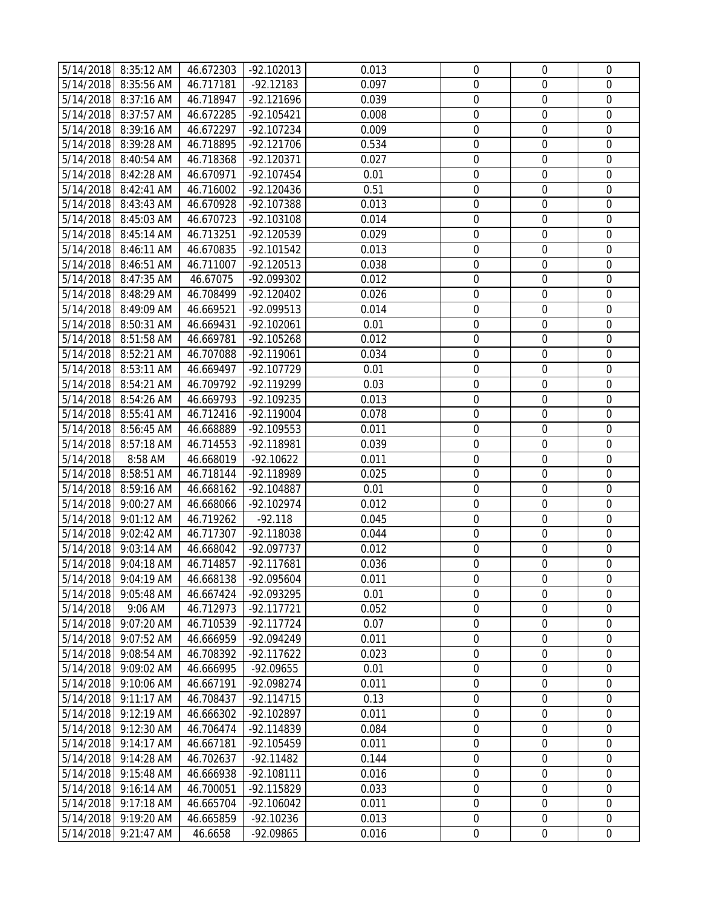|           | 5/14/2018 8:35:12 AM | 46.672303 | $-92.102013$ | 0.013 | $\mathbf 0$      | $\mathbf 0$      | $\mathbf 0$      |
|-----------|----------------------|-----------|--------------|-------|------------------|------------------|------------------|
|           | 5/14/2018 8:35:56 AM | 46.717181 | $-92.12183$  | 0.097 | $\mathbf 0$      | $\mathbf 0$      | $\mathbf 0$      |
|           | 5/14/2018 8:37:16 AM | 46.718947 | $-92.121696$ | 0.039 | $\mathbf 0$      | $\boldsymbol{0}$ | $\mathbf 0$      |
|           | 5/14/2018 8:37:57 AM | 46.672285 | -92.105421   | 0.008 | $\mathbf 0$      | $\mathbf 0$      | $\mathbf 0$      |
| 5/14/2018 | 8:39:16 AM           | 46.672297 | $-92.107234$ | 0.009 | $\boldsymbol{0}$ | $\boldsymbol{0}$ | $\mathbf 0$      |
| 5/14/2018 | 8:39:28 AM           | 46.718895 | $-92.121706$ | 0.534 | $\boldsymbol{0}$ | $\boldsymbol{0}$ | $\boldsymbol{0}$ |
|           | 5/14/2018 8:40:54 AM | 46.718368 | -92.120371   | 0.027 | $\boldsymbol{0}$ | $\mathbf 0$      | $\mathbf 0$      |
|           | 5/14/2018 8:42:28 AM | 46.670971 | $-92.107454$ | 0.01  | $\mathbf 0$      | $\boldsymbol{0}$ | $\mathbf 0$      |
|           | 5/14/2018 8:42:41 AM | 46.716002 | $-92.120436$ | 0.51  | $\mathbf 0$      | $\mathbf 0$      | $\mathbf 0$      |
|           | 5/14/2018 8:43:43 AM | 46.670928 | -92.107388   | 0.013 | $\boldsymbol{0}$ | $\boldsymbol{0}$ | $\boldsymbol{0}$ |
|           | 5/14/2018 8:45:03 AM | 46.670723 | -92.103108   | 0.014 | $\boldsymbol{0}$ | $\boldsymbol{0}$ | $\boldsymbol{0}$ |
|           | 5/14/2018 8:45:14 AM | 46.713251 | -92.120539   | 0.029 | $\boldsymbol{0}$ | $\boldsymbol{0}$ | $\mathbf 0$      |
|           | 5/14/2018 8:46:11 AM | 46.670835 | -92.101542   | 0.013 | $\mathbf 0$      | $\mathbf 0$      | $\mathbf 0$      |
|           | 5/14/2018 8:46:51 AM | 46.711007 | $-92.120513$ | 0.038 | $\mathbf 0$      | $\boldsymbol{0}$ | $\mathbf 0$      |
|           | 5/14/2018 8:47:35 AM | 46.67075  | -92.099302   | 0.012 | $\mathbf 0$      | $\mathbf 0$      | $\mathbf 0$      |
|           | 5/14/2018 8:48:29 AM | 46.708499 | $-92.120402$ | 0.026 | $\boldsymbol{0}$ | $\boldsymbol{0}$ | $\mathbf 0$      |
| 5/14/2018 | 8:49:09 AM           | 46.669521 | -92.099513   | 0.014 | $\boldsymbol{0}$ | $\boldsymbol{0}$ | $\boldsymbol{0}$ |
|           | 5/14/2018 8:50:31 AM | 46.669431 | -92.102061   | 0.01  | $\boldsymbol{0}$ | $\mathbf 0$      | $\mathbf 0$      |
|           | 5/14/2018 8:51:58 AM | 46.669781 | -92.105268   | 0.012 | $\boldsymbol{0}$ | $\boldsymbol{0}$ | $\boldsymbol{0}$ |
|           | 5/14/2018 8:52:21 AM | 46.707088 | -92.119061   | 0.034 | 0                | $\mathbf 0$      | $\mathbf 0$      |
|           | 5/14/2018 8:53:11 AM | 46.669497 | -92.107729   | 0.01  | $\mathbf 0$      | $\boldsymbol{0}$ | $\boldsymbol{0}$ |
|           | 5/14/2018 8:54:21 AM | 46.709792 | -92.119299   | 0.03  | $\boldsymbol{0}$ | $\boldsymbol{0}$ | $\boldsymbol{0}$ |
|           | 5/14/2018 8:54:26 AM | 46.669793 | -92.109235   | 0.013 | $\boldsymbol{0}$ | $\boldsymbol{0}$ | $\mathbf 0$      |
|           | 5/14/2018 8:55:41 AM | 46.712416 | -92.119004   | 0.078 | $\mathbf 0$      | $\mathbf 0$      | $\mathbf 0$      |
|           | 5/14/2018 8:56:45 AM | 46.668889 | -92.109553   | 0.011 | $\mathbf 0$      | $\mathbf 0$      | $\mathbf 0$      |
|           | 5/14/2018 8:57:18 AM | 46.714553 | -92.118981   | 0.039 | $\boldsymbol{0}$ | $\boldsymbol{0}$ | $\mathbf 0$      |
| 5/14/2018 | 8:58 AM              | 46.668019 | $-92.10622$  | 0.011 | $\boldsymbol{0}$ | $\boldsymbol{0}$ | $\mathbf 0$      |
| 5/14/2018 | 8:58:51 AM           | 46.718144 | -92.118989   | 0.025 | $\boldsymbol{0}$ | $\boldsymbol{0}$ | $\boldsymbol{0}$ |
| 5/14/2018 | 8:59:16 AM           | 46.668162 | -92.104887   | 0.01  | $\boldsymbol{0}$ | $\boldsymbol{0}$ | $\mathbf 0$      |
|           | 5/14/2018 9:00:27 AM | 46.668066 | -92.102974   | 0.012 | $\boldsymbol{0}$ | $\boldsymbol{0}$ | $\boldsymbol{0}$ |
|           | 5/14/2018 9:01:12 AM | 46.719262 | $-92.118$    | 0.045 | $\mathbf 0$      | $\mathbf 0$      | $\mathbf 0$      |
|           | 5/14/2018 9:02:42 AM | 46.717307 | -92.118038   | 0.044 | $\boldsymbol{0}$ | $\boldsymbol{0}$ | $\boldsymbol{0}$ |
|           | 5/14/2018 9:03:14 AM | 46.668042 | -92.097737   | 0.012 | $\boldsymbol{0}$ | $\boldsymbol{0}$ | $\boldsymbol{0}$ |
|           | 5/14/2018 9:04:18 AM | 46.714857 | -92.117681   | 0.036 | $\mathbf 0$      | $\mathbf 0$      | $\mathbf 0$      |
|           | 5/14/2018 9:04:19 AM | 46.668138 | -92.095604   | 0.011 | $\boldsymbol{0}$ | 0                | 0                |
| 5/14/2018 | 9:05:48 AM           | 46.667424 | -92.093295   | 0.01  | $\Omega$         | $\Omega$         | 0                |
| 5/14/2018 | 9:06 AM              | 46.712973 | $-92.117721$ | 0.052 | $\mathbf 0$      | $\boldsymbol{0}$ | $\mathbf 0$      |
| 5/14/2018 | 9:07:20 AM           | 46.710539 | $-92.117724$ | 0.07  | $\mathbf 0$      | $\boldsymbol{0}$ | $\mathbf 0$      |
| 5/14/2018 | 9:07:52 AM           | 46.666959 | -92.094249   | 0.011 | 0                | 0                | 0                |
| 5/14/2018 | 9:08:54 AM           | 46.708392 | $-92.117622$ | 0.023 | 0                | $\mathbf 0$      | $\mathbf 0$      |
|           | 5/14/2018 9:09:02 AM | 46.666995 | -92.09655    | 0.01  | $\boldsymbol{0}$ | $\mathbf 0$      | $\mathbf 0$      |
| 5/14/2018 | 9:10:06 AM           | 46.667191 | -92.098274   | 0.011 | 0                | 0                | 0                |
| 5/14/2018 | 9:11:17 AM           | 46.708437 | $-92.114715$ | 0.13  | $\boldsymbol{0}$ | $\boldsymbol{0}$ | $\mathbf 0$      |
| 5/14/2018 | 9:12:19 AM           | 46.666302 | -92.102897   | 0.011 | $\boldsymbol{0}$ | $\boldsymbol{0}$ | $\boldsymbol{0}$ |
| 5/14/2018 | 9:12:30 AM           | 46.706474 | -92.114839   | 0.084 | 0                | 0                | 0                |
| 5/14/2018 | 9:14:17 AM           | 46.667181 | -92.105459   | 0.011 | $\boldsymbol{0}$ | $\boldsymbol{0}$ | $\boldsymbol{0}$ |
| 5/14/2018 | 9:14:28 AM           | 46.702637 | $-92.11482$  | 0.144 | 0                | 0                | $\mathbf 0$      |
| 5/14/2018 | 9:15:48 AM           | 46.666938 | -92.108111   | 0.016 | $\mathbf 0$      | $\mathbf 0$      | $\mathbf 0$      |
| 5/14/2018 | 9:16:14 AM           | 46.700051 | -92.115829   | 0.033 | $\mathbf 0$      | $\boldsymbol{0}$ | $\mathbf 0$      |
| 5/14/2018 | 9:17:18 AM           | 46.665704 | $-92.106042$ | 0.011 | $\boldsymbol{0}$ | 0                | $\boldsymbol{0}$ |
|           | 5/14/2018 9:19:20 AM | 46.665859 | $-92.10236$  | 0.013 | $\boldsymbol{0}$ | $\mathbf 0$      | $\mathbf 0$      |
| 5/14/2018 | 9:21:47 AM           | 46.6658   | -92.09865    | 0.016 | $\boldsymbol{0}$ | $\boldsymbol{0}$ | $\boldsymbol{0}$ |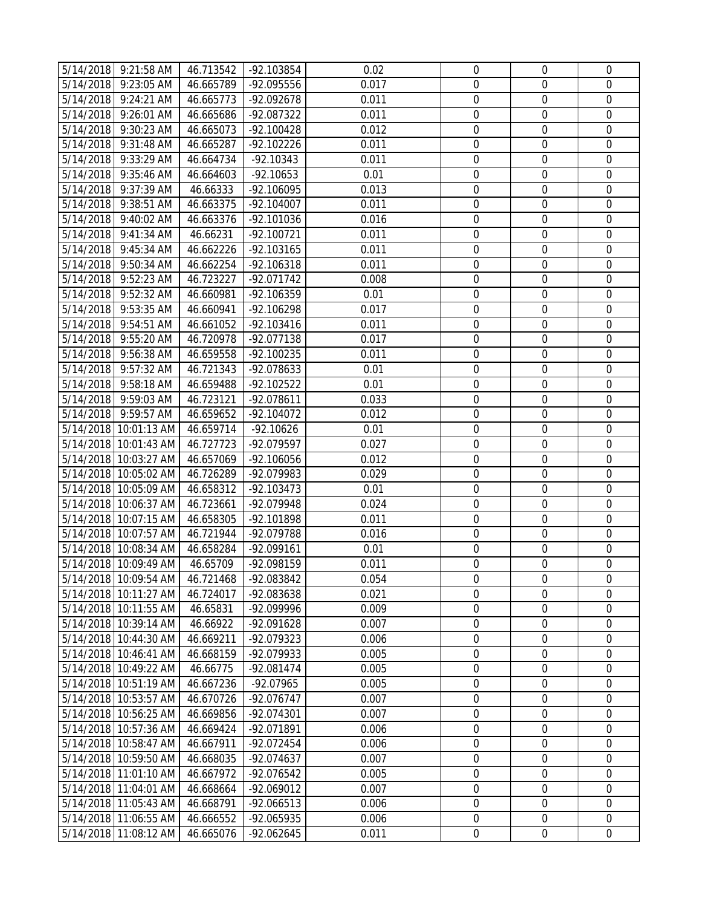|           | 5/14/2018 9:21:58 AM  | 46.713542 | -92.103854   | 0.02  | $\boldsymbol{0}$ | $\boldsymbol{0}$ | $\mathbf 0$      |
|-----------|-----------------------|-----------|--------------|-------|------------------|------------------|------------------|
|           | 5/14/2018 9:23:05 AM  | 46.665789 | -92.095556   | 0.017 | $\mathbf 0$      | $\mathbf 0$      | $\mathbf 0$      |
|           | 5/14/2018 9:24:21 AM  | 46.665773 | -92.092678   | 0.011 | $\mathbf 0$      | $\mathbf 0$      | $\mathbf 0$      |
|           | 5/14/2018 9:26:01 AM  | 46.665686 | -92.087322   | 0.011 | $\boldsymbol{0}$ | $\boldsymbol{0}$ | $\mathbf 0$      |
| 5/14/2018 | 9:30:23 AM            | 46.665073 | -92.100428   | 0.012 | $\boldsymbol{0}$ | $\boldsymbol{0}$ | $\boldsymbol{0}$ |
| 5/14/2018 | 9:31:48 AM            | 46.665287 | -92.102226   | 0.011 | $\boldsymbol{0}$ | $\boldsymbol{0}$ | $\mathbf 0$      |
|           | 5/14/2018 9:33:29 AM  | 46.664734 | $-92.10343$  | 0.011 | $\boldsymbol{0}$ | $\boldsymbol{0}$ | $\boldsymbol{0}$ |
|           | 5/14/2018 9:35:46 AM  | 46.664603 | $-92.10653$  | 0.01  | $\mathbf 0$      | $\mathbf 0$      | $\mathbf 0$      |
| 5/14/2018 | 9:37:39 AM            | 46.66333  | -92.106095   | 0.013 | $\mathbf 0$      | $\boldsymbol{0}$ | $\mathbf 0$      |
|           | 5/14/2018 9:38:51 AM  | 46.663375 | $-92.104007$ | 0.011 | $\mathbf 0$      | $\boldsymbol{0}$ | $\mathbf 0$      |
| 5/14/2018 | $9:40:02$ AM          | 46.663376 | -92.101036   | 0.016 | $\boldsymbol{0}$ | $\boldsymbol{0}$ | $\boldsymbol{0}$ |
|           | 5/14/2018 9:41:34 AM  | 46.66231  | -92.100721   | 0.011 | $\boldsymbol{0}$ | $\mathbf 0$      | $\mathbf 0$      |
|           | 5/14/2018 9:45:34 AM  | 46.662226 | $-92.103165$ | 0.011 | $\mathbf 0$      | $\boldsymbol{0}$ | $\boldsymbol{0}$ |
|           | 5/14/2018 9:50:34 AM  | 46.662254 | -92.106318   | 0.011 | $\mathbf 0$      | $\boldsymbol{0}$ | $\mathbf 0$      |
| 5/14/2018 | 9:52:23 AM            | 46.723227 | -92.071742   | 0.008 | $\mathbf 0$      | $\mathbf 0$      | $\mathbf 0$      |
| 5/14/2018 | 9:52:32 AM            | 46.660981 | -92.106359   | 0.01  | $\boldsymbol{0}$ | $\boldsymbol{0}$ | $\boldsymbol{0}$ |
| 5/14/2018 | 9:53:35 AM            | 46.660941 | -92.106298   | 0.017 | $\boldsymbol{0}$ | $\boldsymbol{0}$ | $\mathbf 0$      |
|           | 5/14/2018 9:54:51 AM  | 46.661052 | $-92.103416$ | 0.011 | $\boldsymbol{0}$ | $\boldsymbol{0}$ | $\boldsymbol{0}$ |
|           | 5/14/2018 9:55:20 AM  | 46.720978 | -92.077138   | 0.017 | $\mathbf 0$      | $\mathbf 0$      | $\mathbf 0$      |
|           | 5/14/2018 9:56:38 AM  | 46.659558 | $-92.100235$ | 0.011 | $\mathbf 0$      | $\boldsymbol{0}$ | $\mathbf 0$      |
|           | 5/14/2018 9:57:32 AM  | 46.721343 | -92.078633   | 0.01  | $\mathbf 0$      | $\boldsymbol{0}$ | $\mathbf 0$      |
| 5/14/2018 | 9:58:18 AM            | 46.659488 | $-92.102522$ | 0.01  | $\mathbf 0$      | $\boldsymbol{0}$ | $\boldsymbol{0}$ |
|           | 5/14/2018 9:59:03 AM  | 46.723121 | -92.078611   | 0.033 | $\boldsymbol{0}$ | $\boldsymbol{0}$ | $\mathbf 0$      |
|           | 5/14/2018 9:59:57 AM  | 46.659652 | -92.104072   | 0.012 | $\mathbf 0$      | $\boldsymbol{0}$ | $\mathbf 0$      |
|           | 5/14/2018 10:01:13 AM | 46.659714 | $-92.10626$  | 0.01  | $\mathbf 0$      | $\boldsymbol{0}$ | $\mathbf 0$      |
|           | 5/14/2018 10:01:43 AM | 46.727723 | -92.079597   | 0.027 | $\mathbf 0$      | $\mathbf 0$      | $\mathbf 0$      |
|           | 5/14/2018 10:03:27 AM | 46.657069 | -92.106056   | 0.012 | $\boldsymbol{0}$ | $\boldsymbol{0}$ | $\boldsymbol{0}$ |
|           | 5/14/2018 10:05:02 AM | 46.726289 | -92.079983   | 0.029 | $\boldsymbol{0}$ | $\boldsymbol{0}$ | $\mathbf 0$      |
|           | 5/14/2018 10:05:09 AM | 46.658312 | $-92.103473$ | 0.01  | $\boldsymbol{0}$ | $\boldsymbol{0}$ | $\boldsymbol{0}$ |
|           | 5/14/2018 10:06:37 AM | 46.723661 | -92.079948   | 0.024 | $\mathbf 0$      | $\mathbf 0$      | $\mathbf 0$      |
|           | 5/14/2018 10:07:15 AM | 46.658305 | -92.101898   | 0.011 | $\mathbf 0$      | $\boldsymbol{0}$ | $\mathbf 0$      |
|           | 5/14/2018 10:07:57 AM | 46.721944 | -92.079788   | 0.016 | $\mathbf 0$      | $\boldsymbol{0}$ | $\mathbf 0$      |
|           | 5/14/2018 10:08:34 AM | 46.658284 | -92.099161   | 0.01  | $\boldsymbol{0}$ | $\boldsymbol{0}$ | $\mathbf 0$      |
|           | 5/14/2018 10:09:49 AM | 46.65709  | -92.098159   | 0.011 | $\mathbf 0$      | $\mathbf 0$      | 0                |
|           | 5/14/2018 10:09:54 AM | 46.721468 | -92.083842   | 0.054 | 0                | 0                | $\mathbf 0$      |
|           | 5/14/2018 10:11:27 AM | 46.724017 | -92.083638   | 0.021 | $\Omega$         | 0                | $\Omega$         |
|           | 5/14/2018 10:11:55 AM | 46.65831  | -92.099996   | 0.009 | 0                | $\mathbf 0$      | $\mathbf 0$      |
|           | 5/14/2018 10:39:14 AM | 46.66922  | -92.091628   | 0.007 | $\boldsymbol{0}$ | $\boldsymbol{0}$ | 0                |
|           | 5/14/2018 10:44:30 AM | 46.669211 | -92.079323   | 0.006 | $\mathbf 0$      | 0                | 0                |
|           | 5/14/2018 10:46:41 AM | 46.668159 | -92.079933   | 0.005 | $\boldsymbol{0}$ | $\boldsymbol{0}$ | $\mathbf 0$      |
|           | 5/14/2018 10:49:22 AM | 46.66775  | $-92.081474$ | 0.005 | 0                | $\mathbf 0$      | $\Omega$         |
|           | 5/14/2018 10:51:19 AM | 46.667236 | -92.07965    | 0.005 | $\mathbf 0$      | $\mathbf 0$      | 0                |
|           | 5/14/2018 10:53:57 AM | 46.670726 | -92.076747   | 0.007 | $\boldsymbol{0}$ | $\boldsymbol{0}$ | $\mathbf 0$      |
|           | 5/14/2018 10:56:25 AM | 46.669856 | -92.074301   | 0.007 | $\boldsymbol{0}$ | $\boldsymbol{0}$ | $\overline{0}$   |
|           | 5/14/2018 10:57:36 AM | 46.669424 | -92.071891   | 0.006 | $\boldsymbol{0}$ | $\boldsymbol{0}$ | 0                |
|           | 5/14/2018 10:58:47 AM | 46.667911 | -92.072454   | 0.006 | $\mathbf 0$      | $\mathbf 0$      | $\mathbf 0$      |
|           | 5/14/2018 10:59:50 AM | 46.668035 | -92.074637   | 0.007 | 0                | 0                | $\mathbf 0$      |
|           | 5/14/2018 11:01:10 AM | 46.667972 | -92.076542   | 0.005 | 0                | 0                | 0                |
|           | 5/14/2018 11:04:01 AM | 46.668664 | -92.069012   | 0.007 | $\boldsymbol{0}$ | $\boldsymbol{0}$ | $\mathbf 0$      |
|           | 5/14/2018 11:05:43 AM | 46.668791 | $-92.066513$ | 0.006 | $\boldsymbol{0}$ | $\boldsymbol{0}$ | 0                |
|           | 5/14/2018 11:06:55 AM | 46.666552 | -92.065935   | 0.006 | $\boldsymbol{0}$ | $\boldsymbol{0}$ | $\boldsymbol{0}$ |
|           | 5/14/2018 11:08:12 AM | 46.665076 | $-92.062645$ | 0.011 | $\boldsymbol{0}$ | $\boldsymbol{0}$ | $\mathbf 0$      |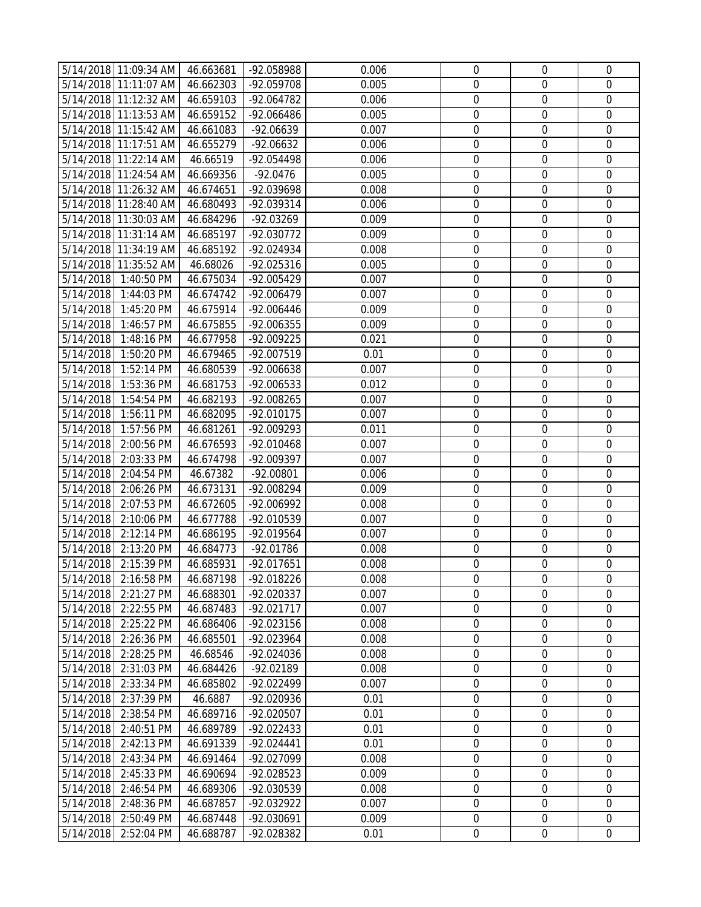|           | 5/14/2018 11:09:34 AM | 46.663681 | -92.058988   | 0.006 | $\mathbf 0$      | 0                | $\mathbf 0$      |
|-----------|-----------------------|-----------|--------------|-------|------------------|------------------|------------------|
|           | 5/14/2018 11:11:07 AM | 46.662303 | -92.059708   | 0.005 | $\mathbf 0$      | $\mathbf 0$      | $\mathbf 0$      |
|           | 5/14/2018 11:12:32 AM | 46.659103 | -92.064782   | 0.006 | $\mathbf 0$      | $\boldsymbol{0}$ | $\mathbf 0$      |
|           | 5/14/2018 11:13:53 AM | 46.659152 | -92.066486   | 0.005 | $\mathbf 0$      | $\mathbf 0$      | $\mathbf 0$      |
|           | 5/14/2018 11:15:42 AM | 46.661083 | -92.06639    | 0.007 | $\boldsymbol{0}$ | $\boldsymbol{0}$ | $\mathbf 0$      |
|           | 5/14/2018 11:17:51 AM | 46.655279 | $-92.06632$  | 0.006 | $\boldsymbol{0}$ | $\boldsymbol{0}$ | $\boldsymbol{0}$ |
|           | 5/14/2018 11:22:14 AM | 46.66519  | -92.054498   | 0.006 | $\boldsymbol{0}$ | $\boldsymbol{0}$ | $\mathbf 0$      |
|           | 5/14/2018 11:24:54 AM | 46.669356 | $-92.0476$   | 0.005 | $\mathbf 0$      | $\boldsymbol{0}$ | $\mathbf 0$      |
|           | 5/14/2018 11:26:32 AM | 46.674651 | -92.039698   | 0.008 | $\mathbf 0$      | $\mathbf 0$      | $\mathbf 0$      |
|           | 5/14/2018 11:28:40 AM | 46.680493 | -92.039314   | 0.006 | $\mathbf 0$      | $\boldsymbol{0}$ | $\boldsymbol{0}$ |
|           | 5/14/2018 11:30:03 AM | 46.684296 | -92.03269    | 0.009 | $\boldsymbol{0}$ | $\boldsymbol{0}$ | $\boldsymbol{0}$ |
|           | 5/14/2018 11:31:14 AM | 46.685197 | -92.030772   | 0.009 | $\boldsymbol{0}$ | $\boldsymbol{0}$ | $\mathbf 0$      |
|           | 5/14/2018 11:34:19 AM | 46.685192 | -92.024934   | 0.008 | $\mathbf 0$      | $\boldsymbol{0}$ | $\mathbf 0$      |
|           | 5/14/2018 11:35:52 AM | 46.68026  | -92.025316   | 0.005 | $\mathbf 0$      | $\boldsymbol{0}$ | $\mathbf 0$      |
| 5/14/2018 | 1:40:50 PM            | 46.675034 | -92.005429   | 0.007 | $\mathbf 0$      | $\boldsymbol{0}$ | $\mathbf 0$      |
| 5/14/2018 | 1:44:03 PM            | 46.674742 | -92.006479   | 0.007 | $\boldsymbol{0}$ | $\boldsymbol{0}$ | $\mathbf 0$      |
| 5/14/2018 | 1:45:20 PM            | 46.675914 | -92.006446   | 0.009 | $\boldsymbol{0}$ | $\boldsymbol{0}$ | $\boldsymbol{0}$ |
| 5/14/2018 | 1:46:57 PM            | 46.675855 | -92.006355   | 0.009 | $\boldsymbol{0}$ | $\boldsymbol{0}$ | $\mathbf 0$      |
| 5/14/2018 | 1:48:16 PM            | 46.677958 | -92.009225   | 0.021 | $\mathbf 0$      | $\boldsymbol{0}$ | $\mathbf 0$      |
| 5/14/2018 | 1:50:20 PM            | 46.679465 | -92.007519   | 0.01  | $\mathbf 0$      | $\mathbf 0$      | $\mathbf 0$      |
| 5/14/2018 | 1:52:14 PM            | 46.680539 | -92.006638   | 0.007 | $\mathbf 0$      | $\boldsymbol{0}$ | $\boldsymbol{0}$ |
| 5/14/2018 | 1:53:36 PM            | 46.681753 | -92.006533   | 0.012 | $\boldsymbol{0}$ | $\boldsymbol{0}$ | $\boldsymbol{0}$ |
| 5/14/2018 | 1:54:54 PM            | 46.682193 | -92.008265   | 0.007 | $\boldsymbol{0}$ | $\boldsymbol{0}$ | $\mathbf 0$      |
| 5/14/2018 | 1:56:11 PM            | 46.682095 | $-92.010175$ | 0.007 | $\mathbf 0$      | $\mathbf 0$      | $\mathbf 0$      |
| 5/14/2018 | 1:57:56 PM            | 46.681261 | $-92.009293$ | 0.011 | $\mathbf 0$      | $\mathbf 0$      | $\mathbf 0$      |
| 5/14/2018 | 2:00:56 PM            | 46.676593 | -92.010468   | 0.007 | $\mathbf 0$      | $\mathbf 0$      | $\mathbf 0$      |
| 5/14/2018 | 2:03:33 PM            | 46.674798 | -92.009397   | 0.007 | $\mathbf 0$      | $\boldsymbol{0}$ | $\mathbf 0$      |
| 5/14/2018 | 2:04:54 PM            | 46.67382  | $-92.00801$  | 0.006 | $\boldsymbol{0}$ | $\boldsymbol{0}$ | $\boldsymbol{0}$ |
| 5/14/2018 | 2:06:26 PM            | 46.673131 | -92.008294   | 0.009 | $\boldsymbol{0}$ | $\boldsymbol{0}$ | $\mathbf 0$      |
| 5/14/2018 | 2:07:53 PM            | 46.672605 | -92.006992   | 0.008 | $\mathbf 0$      | $\boldsymbol{0}$ | $\boldsymbol{0}$ |
| 5/14/2018 | 2:10:06 PM            | 46.677788 | -92.010539   | 0.007 | $\mathbf 0$      | $\mathbf 0$      | $\mathbf 0$      |
| 5/14/2018 | 2:12:14 PM            | 46.686195 | -92.019564   | 0.007 | $\mathbf 0$      | $\boldsymbol{0}$ | $\boldsymbol{0}$ |
| 5/14/2018 | 2:13:20 PM            | 46.684773 | $-92.01786$  | 0.008 | $\boldsymbol{0}$ | $\boldsymbol{0}$ | $\boldsymbol{0}$ |
| 5/14/2018 | 2:15:39 PM            | 46.685931 | -92.017651   | 0.008 | $\mathbf 0$      | $\mathbf 0$      | $\mathbf 0$      |
|           | 5/14/2018 2:16:58 PM  | 46.687198 | -92.018226   | 0.008 | 0                | 0                | 0                |
| 5/14/2018 | 2:21:27 PM            | 46.688301 | -92.020337   | 0.007 | $\Omega$         | $\Omega$         | 0                |
| 5/14/2018 | 2:22:55 PM            | 46.687483 | -92.021717   | 0.007 | $\mathbf 0$      | $\boldsymbol{0}$ | $\mathbf 0$      |
| 5/14/2018 | 2:25:22 PM            | 46.686406 | -92.023156   | 0.008 | $\mathbf 0$      | $\boldsymbol{0}$ | $\mathbf 0$      |
| 5/14/2018 | 2:26:36 PM            | 46.685501 | -92.023964   | 0.008 | $\boldsymbol{0}$ | 0                | 0                |
| 5/14/2018 | 2:28:25 PM            | 46.68546  | -92.024036   | 0.008 | $\boldsymbol{0}$ | $\boldsymbol{0}$ | $\mathbf 0$      |
| 5/14/2018 | 2:31:03 PM            | 46.684426 | -92.02189    | 0.008 | $\mathbf 0$      | $\boldsymbol{0}$ | $\mathbf 0$      |
| 5/14/2018 | 2:33:34 PM            | 46.685802 | -92.022499   | 0.007 | $\mathbf 0$      | 0                | $\Omega$         |
| 5/14/2018 | 2:37:39 PM            | 46.6887   | -92.020936   | 0.01  | $\boldsymbol{0}$ | $\boldsymbol{0}$ | $\mathbf 0$      |
| 5/14/2018 | 2:38:54 PM            | 46.689716 | -92.020507   | 0.01  | $\boldsymbol{0}$ | $\boldsymbol{0}$ | $\boldsymbol{0}$ |
| 5/14/2018 | 2:40:51 PM            | 46.689789 | -92.022433   | 0.01  | $\boldsymbol{0}$ | 0                | 0                |
| 5/14/2018 | 2:42:13 PM            | 46.691339 | $-92.024441$ | 0.01  | $\boldsymbol{0}$ | $\boldsymbol{0}$ | 0                |
| 5/14/2018 | 2:43:34 PM            | 46.691464 | -92.027099   | 0.008 | 0                | $\mathbf 0$      | $\Omega$         |
| 5/14/2018 | 2:45:33 PM            | 46.690694 | -92.028523   | 0.009 | $\mathbf 0$      | $\boldsymbol{0}$ | 0                |
| 5/14/2018 | 2:46:54 PM            | 46.689306 | -92.030539   | 0.008 | $\mathbf 0$      | $\boldsymbol{0}$ | $\mathbf 0$      |
| 5/14/2018 | 2:48:36 PM            | 46.687857 | -92.032922   | 0.007 | $\boldsymbol{0}$ | $\boldsymbol{0}$ | $\boldsymbol{0}$ |
| 5/14/2018 | 2:50:49 PM            | 46.687448 | -92.030691   | 0.009 | $\boldsymbol{0}$ | $\boldsymbol{0}$ | $\overline{0}$   |
| 5/14/2018 | 2:52:04 PM            | 46.688787 | -92.028382   | 0.01  | $\boldsymbol{0}$ | $\boldsymbol{0}$ | $\boldsymbol{0}$ |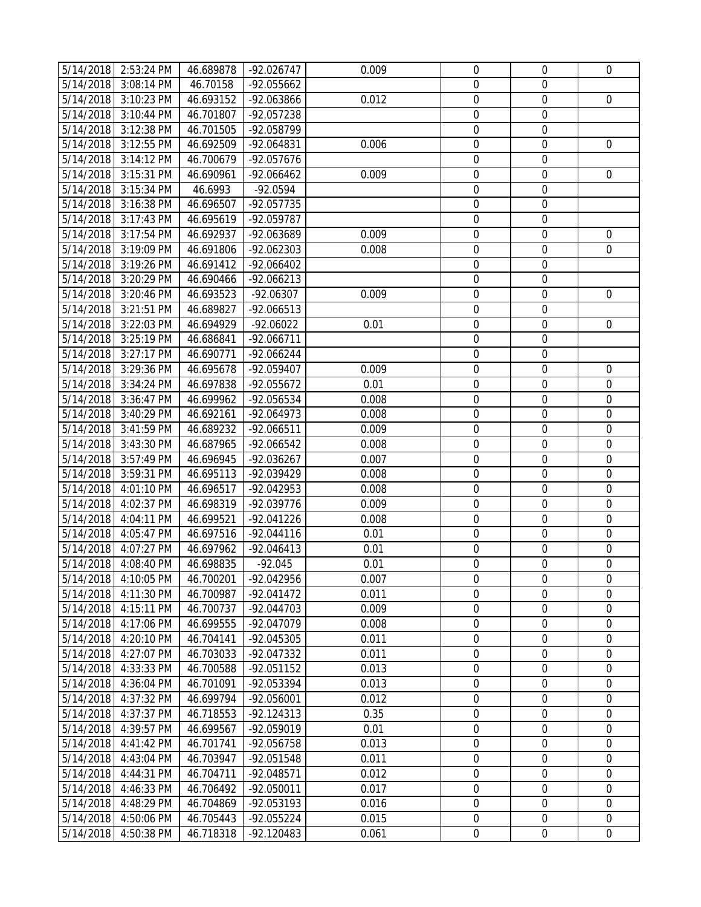|           | 5/14/2018 2:53:24 PM | 46.689878 | $-92.026747$ | 0.009 | $\mathbf 0$      | $\boldsymbol{0}$ | 0                |
|-----------|----------------------|-----------|--------------|-------|------------------|------------------|------------------|
| 5/14/2018 | 3:08:14 PM           | 46.70158  | -92.055662   |       | $\boldsymbol{0}$ | $\mathbf 0$      |                  |
| 5/14/2018 | 3:10:23 PM           | 46.693152 | -92.063866   | 0.012 | $\mathbf 0$      | $\boldsymbol{0}$ | $\mathbf 0$      |
| 5/14/2018 | 3:10:44 PM           | 46.701807 | -92.057238   |       | $\mathbf 0$      | $\mathbf 0$      |                  |
| 5/14/2018 | 3:12:38 PM           | 46.701505 | -92.058799   |       | $\mathbf 0$      | $\boldsymbol{0}$ |                  |
| 5/14/2018 | 3:12:55 PM           | 46.692509 | -92.064831   | 0.006 | $\boldsymbol{0}$ | $\boldsymbol{0}$ | $\mathbf 0$      |
| 5/14/2018 | 3:14:12 PM           | 46.700679 | -92.057676   |       | $\boldsymbol{0}$ | $\boldsymbol{0}$ |                  |
| 5/14/2018 | 3:15:31 PM           | 46.690961 | -92.066462   | 0.009 | $\boldsymbol{0}$ | $\boldsymbol{0}$ | $\boldsymbol{0}$ |
| 5/14/2018 | 3:15:34 PM           | 46.6993   | $-92.0594$   |       | $\mathbf 0$      | $\mathbf 0$      |                  |
| 5/14/2018 | 3:16:38 PM           | 46.696507 | $-92.057735$ |       | $\mathbf 0$      | $\boldsymbol{0}$ |                  |
| 5/14/2018 | 3:17:43 PM           | 46.695619 | -92.059787   |       | $\mathbf 0$      | $\boldsymbol{0}$ |                  |
| 5/14/2018 | 3:17:54 PM           | 46.692937 | -92.063689   | 0.009 | $\boldsymbol{0}$ | $\boldsymbol{0}$ | $\boldsymbol{0}$ |
| 5/14/2018 | 3:19:09 PM           | 46.691806 | -92.062303   | 0.008 | $\boldsymbol{0}$ | $\boldsymbol{0}$ | $\mathbf 0$      |
| 5/14/2018 | 3:19:26 PM           | 46.691412 | -92.066402   |       | $\boldsymbol{0}$ | $\boldsymbol{0}$ |                  |
| 5/14/2018 | 3:20:29 PM           | 46.690466 | $-92.066213$ |       | $\overline{0}$   | $\boldsymbol{0}$ |                  |
| 5/14/2018 | 3:20:46 PM           | 46.693523 | $-92.06307$  | 0.009 | $\mathbf 0$      | $\boldsymbol{0}$ | $\mathbf 0$      |
| 5/14/2018 | 3:21:51 PM           | 46.689827 | $-92.066513$ |       | $\boldsymbol{0}$ | $\boldsymbol{0}$ |                  |
| 5/14/2018 | 3:22:03 PM           | 46.694929 | $-92.06022$  | 0.01  | $\boldsymbol{0}$ | $\boldsymbol{0}$ | $\mathbf 0$      |
| 5/14/2018 | 3:25:19 PM           | 46.686841 | -92.066711   |       | $\boldsymbol{0}$ | $\boldsymbol{0}$ |                  |
| 5/14/2018 | $3:27:17 \text{ PM}$ | 46.690771 | -92.066244   |       | $\mathbf 0$      | $\mathbf 0$      |                  |
| 5/14/2018 | 3:29:36 PM           | 46.695678 | -92.059407   | 0.009 | $\mathbf 0$      | $\boldsymbol{0}$ | $\mathbf 0$      |
| 5/14/2018 | 3:34:24 PM           | 46.697838 | -92.055672   | 0.01  | $\mathbf 0$      | $\boldsymbol{0}$ | $\boldsymbol{0}$ |
| 5/14/2018 | 3:36:47 PM           | 46.699962 | -92.056534   | 0.008 | $\boldsymbol{0}$ | $\boldsymbol{0}$ | $\boldsymbol{0}$ |
| 5/14/2018 | 3:40:29 PM           | 46.692161 | -92.064973   | 0.008 | $\boldsymbol{0}$ | $\boldsymbol{0}$ | $\boldsymbol{0}$ |
| 5/14/2018 | 3:41:59 PM           | 46.689232 | $-92.066511$ | 0.009 | $\mathbf 0$      | $\boldsymbol{0}$ | $\mathbf 0$      |
| 5/14/2018 | 3:43:30 PM           | 46.687965 | -92.066542   | 0.008 | $\mathbf 0$      | $\mathbf 0$      | $\mathbf 0$      |
| 5/14/2018 | 3:57:49 PM           | 46.696945 | -92.036267   | 0.007 | $\boldsymbol{0}$ | $\boldsymbol{0}$ | $\mathbf 0$      |
| 5/14/2018 | 3:59:31 PM           | 46.695113 | -92.039429   | 0.008 | $\boldsymbol{0}$ | $\boldsymbol{0}$ | $\boldsymbol{0}$ |
| 5/14/2018 | 4:01:10 PM           | 46.696517 | -92.042953   | 0.008 | $\boldsymbol{0}$ | $\boldsymbol{0}$ | $\boldsymbol{0}$ |
| 5/14/2018 | 4:02:37 PM           | 46.698319 | -92.039776   | 0.009 | $\boldsymbol{0}$ | $\boldsymbol{0}$ | $\boldsymbol{0}$ |
| 5/14/2018 | 4:04:11 PM           | 46.699521 | $-92.041226$ | 0.008 | $\mathbf 0$      | $\mathbf 0$      | $\mathbf 0$      |
| 5/14/2018 | 4:05:47 PM           | 46.697516 | $-92.044116$ | 0.01  | $\mathbf 0$      | $\boldsymbol{0}$ | $\boldsymbol{0}$ |
| 5/14/2018 | 4:07:27 PM           | 46.697962 | $-92.046413$ | 0.01  | $\boldsymbol{0}$ | $\boldsymbol{0}$ | $\boldsymbol{0}$ |
| 5/14/2018 | 4:08:40 PM           | 46.698835 | $-92.045$    | 0.01  | $\boldsymbol{0}$ | $\mathbf 0$      | $\mathbf 0$      |
|           | 5/14/2018 4:10:05 PM | 46.700201 | -92.042956   | 0.007 | 0                | 0                | 0                |
| 5/14/2018 | 4:11:30 PM           | 46.700987 | $-92.041472$ | 0.011 | $\overline{0}$   | $\overline{0}$   | $\overline{0}$   |
| 5/14/2018 | 4:15:11 PM           | 46.700737 | -92.044703   | 0.009 | $\mathbf 0$      | $\boldsymbol{0}$ | $\mathbf 0$      |
| 5/14/2018 | 4:17:06 PM           | 46.699555 | -92.047079   | 0.008 | $\mathbf 0$      | $\mathbf 0$      | $\mathbf 0$      |
| 5/14/2018 | 4:20:10 PM           | 46.704141 | -92.045305   | 0.011 | $\boldsymbol{0}$ | $\boldsymbol{0}$ | $\boldsymbol{0}$ |
| 5/14/2018 | 4:27:07 PM           | 46.703033 | -92.047332   | 0.011 | $\boldsymbol{0}$ | $\boldsymbol{0}$ | 0                |
| 5/14/2018 | 4:33:33 PM           | 46.700588 | $-92.051152$ | 0.013 | $\boldsymbol{0}$ | $\boldsymbol{0}$ | $\mathbf 0$      |
| 5/14/2018 | 4:36:04 PM           | 46.701091 | -92.053394   | 0.013 | 0                | $\mathbf 0$      | $\Omega$         |
| 5/14/2018 | 4:37:32 PM           | 46.699794 | -92.056001   | 0.012 | $\mathbf 0$      | $\mathbf 0$      | 0                |
| 5/14/2018 | 4:37:37 PM           | 46.718553 | $-92.124313$ | 0.35  | $\boldsymbol{0}$ | $\boldsymbol{0}$ | $\mathbf 0$      |
| 5/14/2018 | 4:39:57 PM           | 46.699567 | -92.059019   | 0.01  | $\boldsymbol{0}$ | $\boldsymbol{0}$ | $\mathbf 0$      |
| 5/14/2018 | 4:41:42 PM           | 46.701741 | -92.056758   | 0.013 | $\boldsymbol{0}$ | $\boldsymbol{0}$ | 0                |
| 5/14/2018 | 4:43:04 PM           | 46.703947 | -92.051548   | 0.011 | $\mathbf 0$      | $\mathbf 0$      | $\mathbf 0$      |
| 5/14/2018 | 4:44:31 PM           | 46.704711 | -92.048571   | 0.012 | $\mathbf 0$      | $\mathbf 0$      | $\mathbf 0$      |
| 5/14/2018 | 4:46:33 PM           | 46.706492 | -92.050011   | 0.017 | 0                | 0                | 0                |
| 5/14/2018 | 4:48:29 PM           | 46.704869 | -92.053193   | 0.016 | $\boldsymbol{0}$ | $\boldsymbol{0}$ | $\mathbf 0$      |
| 5/14/2018 | 4:50:06 PM           | 46.705443 | -92.055224   | 0.015 | $\boldsymbol{0}$ | $\boldsymbol{0}$ | $\boldsymbol{0}$ |
| 5/14/2018 | 4:50:38 PM           | 46.718318 | $-92.120483$ | 0.061 | $\boldsymbol{0}$ | $\boldsymbol{0}$ | $\mathbf 0$      |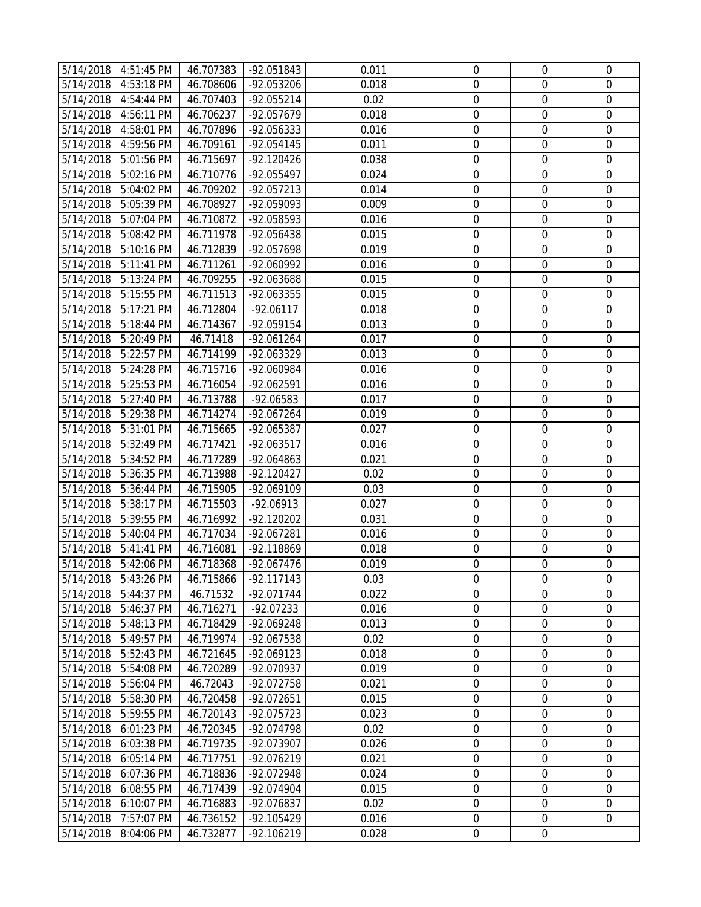|           | 5/14/2018 4:51:45 PM | 46.707383 | -92.051843   | 0.011 | $\boldsymbol{0}$ | $\boldsymbol{0}$ | $\mathbf 0$      |
|-----------|----------------------|-----------|--------------|-------|------------------|------------------|------------------|
| 5/14/2018 | 4:53:18 PM           | 46.708606 | -92.053206   | 0.018 | $\mathbf 0$      | $\boldsymbol{0}$ | $\mathbf 0$      |
| 5/14/2018 | 4:54:44 PM           | 46.707403 | -92.055214   | 0.02  | $\mathbf 0$      | $\mathbf 0$      | $\mathbf 0$      |
| 5/14/2018 | 4:56:11 PM           | 46.706237 | -92.057679   | 0.018 | $\boldsymbol{0}$ | $\boldsymbol{0}$ | $\mathbf 0$      |
| 5/14/2018 | 4:58:01 PM           | 46.707896 | -92.056333   | 0.016 | $\boldsymbol{0}$ | $\boldsymbol{0}$ | $\boldsymbol{0}$ |
| 5/14/2018 | 4:59:56 PM           | 46.709161 | -92.054145   | 0.011 | $\boldsymbol{0}$ | $\boldsymbol{0}$ | $\boldsymbol{0}$ |
| 5/14/2018 | 5:01:56 PM           | 46.715697 | $-92.120426$ | 0.038 | $\boldsymbol{0}$ | $\boldsymbol{0}$ | $\boldsymbol{0}$ |
| 5/14/2018 | 5:02:16 PM           | 46.710776 | -92.055497   | 0.024 | $\mathbf 0$      | $\mathbf 0$      | $\mathbf 0$      |
| 5/14/2018 | 5:04:02 PM           | 46.709202 | $-92.057213$ | 0.014 | $\mathbf 0$      | $\boldsymbol{0}$ | $\mathbf 0$      |
| 5/14/2018 | 5:05:39 PM           | 46.708927 | -92.059093   | 0.009 | $\mathbf 0$      | $\boldsymbol{0}$ | $\mathbf 0$      |
| 5/14/2018 | 5:07:04 PM           | 46.710872 | -92.058593   | 0.016 | $\boldsymbol{0}$ | $\boldsymbol{0}$ | $\boldsymbol{0}$ |
| 5/14/2018 | 5:08:42 PM           | 46.711978 | -92.056438   | 0.015 | $\boldsymbol{0}$ | $\mathbf 0$      | $\mathbf 0$      |
| 5/14/2018 | 5:10:16 PM           | 46.712839 | -92.057698   | 0.019 | $\mathbf 0$      | $\boldsymbol{0}$ | $\boldsymbol{0}$ |
| 5/14/2018 | 5:11:41 PM           | 46.711261 | -92.060992   | 0.016 | $\mathbf 0$      | $\boldsymbol{0}$ | $\mathbf 0$      |
| 5/14/2018 | 5:13:24 PM           | 46.709255 | -92.063688   | 0.015 | $\mathbf 0$      | $\boldsymbol{0}$ | $\mathbf 0$      |
| 5/14/2018 | 5:15:55 PM           | 46.711513 | -92.063355   | 0.015 | $\boldsymbol{0}$ | $\boldsymbol{0}$ | $\boldsymbol{0}$ |
| 5/14/2018 | 5:17:21 PM           | 46.712804 | $-92.06117$  | 0.018 | $\boldsymbol{0}$ | $\boldsymbol{0}$ | $\mathbf 0$      |
| 5/14/2018 | 5:18:44 PM           | 46.714367 | -92.059154   | 0.013 | $\boldsymbol{0}$ | $\boldsymbol{0}$ | $\boldsymbol{0}$ |
| 5/14/2018 | 5:20:49 PM           | 46.71418  | -92.061264   | 0.017 | $\mathbf 0$      | $\mathbf 0$      | $\mathbf 0$      |
| 5/14/2018 | 5:22:57 PM           | 46.714199 | -92.063329   | 0.013 | $\mathbf 0$      | $\boldsymbol{0}$ | $\mathbf 0$      |
| 5/14/2018 | 5:24:28 PM           | 46.715716 | -92.060984   | 0.016 | $\mathbf 0$      | $\boldsymbol{0}$ | $\mathbf 0$      |
| 5/14/2018 | 5:25:53 PM           | 46.716054 | -92.062591   | 0.016 | $\boldsymbol{0}$ | $\boldsymbol{0}$ | $\boldsymbol{0}$ |
| 5/14/2018 | 5:27:40 PM           | 46.713788 | -92.06583    | 0.017 | $\boldsymbol{0}$ | $\boldsymbol{0}$ | $\mathbf 0$      |
| 5/14/2018 | 5:29:38 PM           | 46.714274 | -92.067264   | 0.019 | $\mathbf 0$      | $\boldsymbol{0}$ | $\mathbf 0$      |
| 5/14/2018 | 5:31:01 PM           | 46.715665 | -92.065387   | 0.027 | $\mathbf 0$      | $\boldsymbol{0}$ | $\mathbf 0$      |
| 5/14/2018 | 5:32:49 PM           | 46.717421 | -92.063517   | 0.016 | $\mathbf 0$      | $\boldsymbol{0}$ | $\mathbf 0$      |
| 5/14/2018 | 5:34:52 PM           | 46.717289 | -92.064863   | 0.021 | $\boldsymbol{0}$ | $\boldsymbol{0}$ | $\boldsymbol{0}$ |
| 5/14/2018 | 5:36:35 PM           | 46.713988 | -92.120427   | 0.02  | $\boldsymbol{0}$ | $\boldsymbol{0}$ | $\mathbf 0$      |
| 5/14/2018 | 5:36:44 PM           | 46.715905 | -92.069109   | 0.03  | $\boldsymbol{0}$ | $\boldsymbol{0}$ | $\boldsymbol{0}$ |
| 5/14/2018 | 5:38:17 PM           | 46.715503 | $-92.06913$  | 0.027 | $\mathbf 0$      | $\mathbf 0$      | $\mathbf 0$      |
| 5/14/2018 | 5:39:55 PM           | 46.716992 | -92.120202   | 0.031 | $\mathbf 0$      | $\boldsymbol{0}$ | $\mathbf 0$      |
| 5/14/2018 | 5:40:04 PM           | 46.717034 | -92.067281   | 0.016 | $\mathbf 0$      | $\boldsymbol{0}$ | $\mathbf 0$      |
| 5/14/2018 | 5:41:41 PM           | 46.716081 | -92.118869   | 0.018 | $\boldsymbol{0}$ | $\boldsymbol{0}$ | $\boldsymbol{0}$ |
| 5/14/2018 | 5:42:06 PM           | 46.718368 | -92.067476   | 0.019 | $\mathbf 0$      | $\mathbf 0$      | 0                |
|           | 5/14/2018 5:43:26 PM | 46.715866 | $-92.117143$ | 0.03  | 0                | 0                | 0                |
| 5/14/2018 | 5:44:37 PM           | 46.71532  | -92.071744   | 0.022 | $\Omega$         | 0                | $\Omega$         |
| 5/14/2018 | 5:46:37 PM           | 46.716271 | $-92.07233$  | 0.016 | $\mathbf 0$      | $\mathbf 0$      | $\mathbf 0$      |
| 5/14/2018 | 5:48:13 PM           | 46.718429 | -92.069248   | 0.013 | $\boldsymbol{0}$ | $\boldsymbol{0}$ | $\mathbf 0$      |
| 5/14/2018 | 5:49:57 PM           | 46.719974 | -92.067538   | 0.02  | $\boldsymbol{0}$ | 0                | 0                |
| 5/14/2018 | 5:52:43 PM           | 46.721645 | $-92.069123$ | 0.018 | $\boldsymbol{0}$ | $\boldsymbol{0}$ | $\mathbf 0$      |
| 5/14/2018 | 5:54:08 PM           | 46.720289 | -92.070937   | 0.019 | $\mathbf 0$      | $\mathbf 0$      | 0                |
| 5/14/2018 | 5:56:04 PM           | 46.72043  | -92.072758   | 0.021 | $\mathbf 0$      | $\mathbf 0$      | 0                |
| 5/14/2018 | 5:58:30 PM           | 46.720458 | -92.072651   | 0.015 | $\boldsymbol{0}$ | $\boldsymbol{0}$ | $\mathbf 0$      |
| 5/14/2018 | 5:59:55 PM           | 46.720143 | -92.075723   | 0.023 | $\boldsymbol{0}$ | $\boldsymbol{0}$ | $\mathbf 0$      |
| 5/14/2018 | 6:01:23 PM           | 46.720345 | -92.074798   | 0.02  | $\boldsymbol{0}$ | $\boldsymbol{0}$ | 0                |
| 5/14/2018 | 6:03:38 PM           | 46.719735 | -92.073907   | 0.026 | $\mathbf 0$      | $\mathbf 0$      | $\mathbf 0$      |
| 5/14/2018 | 6:05:14 PM           | 46.717751 | -92.076219   | 0.021 | $\mathbf 0$      | 0                | 0                |
| 5/14/2018 | 6:07:36 PM           | 46.718836 | -92.072948   | 0.024 | $\mathbf 0$      | 0                | 0                |
| 5/14/2018 | 6:08:55 PM           | 46.717439 | -92.074904   | 0.015 | $\boldsymbol{0}$ | $\boldsymbol{0}$ | $\mathbf 0$      |
| 5/14/2018 | 6:10:07 PM           | 46.716883 | -92.076837   | 0.02  | $\boldsymbol{0}$ | $\boldsymbol{0}$ | $\overline{0}$   |
| 5/14/2018 | 7:57:07 PM           | 46.736152 | -92.105429   | 0.016 | $\boldsymbol{0}$ | $\boldsymbol{0}$ | 0                |
| 5/14/2018 | 8:04:06 PM           | 46.732877 | -92.106219   | 0.028 | $\boldsymbol{0}$ | $\boldsymbol{0}$ |                  |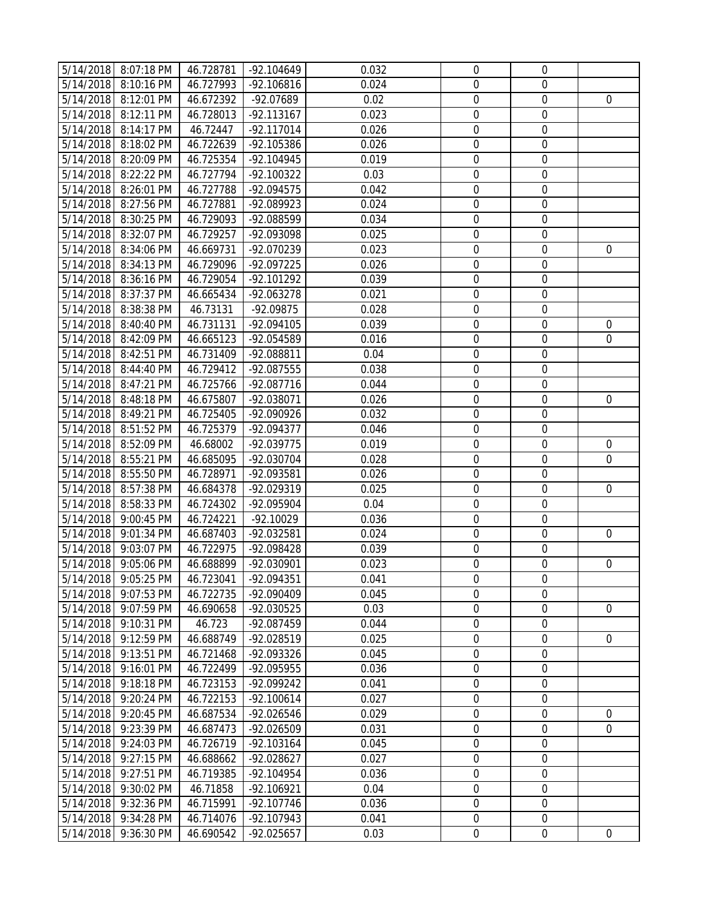|                        | 5/14/2018 8:07:18 PM | 46.728781 | $-92.104649$ | 0.032 | $\mathbf 0$      | $\boldsymbol{0}$           |                  |
|------------------------|----------------------|-----------|--------------|-------|------------------|----------------------------|------------------|
|                        | 5/14/2018 8:10:16 PM | 46.727993 | $-92.106816$ | 0.024 | $\boldsymbol{0}$ | $\boldsymbol{0}$           |                  |
| 5/14/2018              | 8:12:01 PM           | 46.672392 | -92.07689    | 0.02  | $\mathbf 0$      | $\mathbf 0$                | $\mathbf 0$      |
| 5/14/2018              | 8:12:11 PM           | 46.728013 | -92.113167   | 0.023 | $\mathbf 0$      | $\mathbf 0$                |                  |
| 5/14/2018              | 8:14:17 PM           | 46.72447  | $-92.117014$ | 0.026 | $\boldsymbol{0}$ | $\boldsymbol{0}$           |                  |
| 5/14/2018              | 8:18:02 PM           | 46.722639 | -92.105386   | 0.026 | $\boldsymbol{0}$ | $\boldsymbol{0}$           |                  |
| 5/14/2018              | 8:20:09 PM           | 46.725354 | -92.104945   | 0.019 | $\boldsymbol{0}$ | $\boldsymbol{0}$           |                  |
| 5/14/2018              | 8:22:22 PM           | 46.727794 | -92.100322   | 0.03  | $\mathbf 0$      | $\mathbf 0$                |                  |
| 5/14/2018              | 8:26:01 PM           | 46.727788 | -92.094575   | 0.042 | $\mathbf 0$      | $\mathbf 0$                |                  |
| 5/14/2018              | 8:27:56 PM           | 46.727881 | -92.089923   | 0.024 | $\mathbf 0$      | $\boldsymbol{0}$           |                  |
| 5/14/2018              | 8:30:25 PM           | 46.729093 | -92.088599   | 0.034 | $\boldsymbol{0}$ | $\boldsymbol{0}$           |                  |
| 5/14/2018              | 8:32:07 PM           |           | -92.093098   | 0.025 | $\boldsymbol{0}$ | $\boldsymbol{0}$           |                  |
|                        |                      | 46.729257 | -92.070239   | 0.023 | $\boldsymbol{0}$ |                            |                  |
|                        | 5/14/2018 8:34:06 PM | 46.669731 |              |       | $\mathbf 0$      | $\mathbf 0$<br>$\mathbf 0$ | $\mathbf 0$      |
| 5/14/2018              | 8:34:13 PM           | 46.729096 | -92.097225   | 0.026 | $\mathbf 0$      |                            |                  |
| 5/14/2018              | 8:36:16 PM           | 46.729054 | -92.101292   | 0.039 |                  | $\boldsymbol{0}$           |                  |
| 5/14/2018              | 8:37:37 PM           | 46.665434 | -92.063278   | 0.021 | $\boldsymbol{0}$ | $\boldsymbol{0}$           |                  |
| 5/14/2018              | 8:38:38 PM           | 46.73131  | -92.09875    | 0.028 | $\boldsymbol{0}$ | $\boldsymbol{0}$           |                  |
| 5/14/2018              | 8:40:40 PM           | 46.731131 | -92.094105   | 0.039 | $\boldsymbol{0}$ | $\boldsymbol{0}$           | $\mathbf 0$      |
| $\overline{5/14/2018}$ | 8:42:09 PM           | 46.665123 | -92.054589   | 0.016 | $\mathbf 0$      | $\mathbf 0$                | $\mathbf 0$      |
| 5/14/2018              | 8:42:51 PM           | 46.731409 | -92.088811   | 0.04  | $\mathbf 0$      | $\boldsymbol{0}$           |                  |
| 5/14/2018              | 8:44:40 PM           | 46.729412 | -92.087555   | 0.038 | $\mathbf 0$      | $\boldsymbol{0}$           |                  |
| 5/14/2018              | 8:47:21 PM           | 46.725766 | -92.087716   | 0.044 | $\boldsymbol{0}$ | $\boldsymbol{0}$           |                  |
| 5/14/2018              | 8:48:18 PM           | 46.675807 | -92.038071   | 0.026 | $\boldsymbol{0}$ | $\boldsymbol{0}$           | $\boldsymbol{0}$ |
|                        | 5/14/2018 8:49:21 PM | 46.725405 | -92.090926   | 0.032 | $\boldsymbol{0}$ | $\boldsymbol{0}$           |                  |
| 5/14/2018              | 8:51:52 PM           | 46.725379 | -92.094377   | 0.046 | $\mathbf 0$      | $\boldsymbol{0}$           |                  |
| 5/14/2018              | 8:52:09 PM           | 46.68002  | -92.039775   | 0.019 | $\mathbf 0$      | $\mathbf 0$                | 0                |
| 5/14/2018              | 8:55:21 PM           | 46.685095 | -92.030704   | 0.028 | $\boldsymbol{0}$ | $\boldsymbol{0}$           | $\mathbf 0$      |
| 5/14/2018              | 8:55:50 PM           | 46.728971 | -92.093581   | 0.026 | $\boldsymbol{0}$ | $\boldsymbol{0}$           |                  |
| 5/14/2018              | 8:57:38 PM           | 46.684378 | -92.029319   | 0.025 | $\boldsymbol{0}$ | $\boldsymbol{0}$           | $\mathbf 0$      |
| 5/14/2018              | 8:58:33 PM           | 46.724302 | -92.095904   | 0.04  | $\mathbf 0$      | $\boldsymbol{0}$           |                  |
| 5/14/2018              | 9:00:45 PM           | 46.724221 | $-92.10029$  | 0.036 | $\mathbf 0$      | $\mathbf 0$                |                  |
| 5/14/2018              | 9:01:34 PM           | 46.687403 | -92.032581   | 0.024 | $\boldsymbol{0}$ | $\mathbf 0$                | $\mathbf 0$      |
| 5/14/2018              | 9:03:07 PM           | 46.722975 | -92.098428   | 0.039 | $\boldsymbol{0}$ | $\boldsymbol{0}$           |                  |
| 5/14/2018              | 9:05:06 PM           | 46.688899 | -92.030901   | 0.023 | $\mathbf 0$      | $\boldsymbol{0}$           | 0                |
|                        | 5/14/2018 9:05:25 PM | 46.723041 | -92.094351   | 0.041 | 0                | 0                          |                  |
| 5/14/2018              | 9:07:53 PM           | 46.722735 | -92.090409   | 0.045 | 0                | $\mathbf 0$                |                  |
| 5/14/2018              | 9:07:59 PM           | 46.690658 | -92.030525   | 0.03  | $\mathbf 0$      | $\mathbf 0$                | $\overline{0}$   |
| 5/14/2018              | 9:10:31 PM           | 46.723    | -92.087459   | 0.044 | $\boldsymbol{0}$ | $\boldsymbol{0}$           |                  |
| 5/14/2018              | 9:12:59 PM           | 46.688749 | -92.028519   | 0.025 | $\boldsymbol{0}$ | $\boldsymbol{0}$           | $\mathbf 0$      |
| 5/14/2018              | 9:13:51 PM           | 46.721468 | -92.093326   | 0.045 | $\boldsymbol{0}$ | $\boldsymbol{0}$           |                  |
| 5/14/2018              | 9:16:01 PM           | 46.722499 | -92.095955   | 0.036 | $\mathbf 0$      | $\mathbf 0$                |                  |
| 5/14/2018              | 9:18:18 PM           | 46.723153 | -92.099242   | 0.041 | $\mathbf 0$      | $\mathbf 0$                |                  |
| 5/14/2018              | 9:20:24 PM           | 46.722153 | $-92.100614$ | 0.027 | $\mathbf 0$      | $\mathbf 0$                |                  |
| 5/14/2018              | 9:20:45 PM           | 46.687534 | -92.026546   | 0.029 | $\boldsymbol{0}$ | $\boldsymbol{0}$           | $\overline{0}$   |
| 5/14/2018              | 9:23:39 PM           | 46.687473 | -92.026509   | 0.031 | $\boldsymbol{0}$ | $\boldsymbol{0}$           | 0                |
| 5/14/2018              | 9:24:03 PM           | 46.726719 | -92.103164   | 0.045 | $\boldsymbol{0}$ | $\mathbf 0$                |                  |
| 5/14/2018              | 9:27:15 PM           | 46.688662 | -92.028627   | 0.027 | $\boldsymbol{0}$ | $\boldsymbol{0}$           |                  |
| 5/14/2018              | 9:27:51 PM           | 46.719385 | -92.104954   | 0.036 | $\mathbf 0$      | 0                          |                  |
| 5/14/2018              | 9:30:02 PM           | 46.71858  | -92.106921   | 0.04  | $\mathbf 0$      | $\boldsymbol{0}$           |                  |
| 5/14/2018              | 9:32:36 PM           | 46.715991 | -92.107746   | 0.036 | $\boldsymbol{0}$ | $\mathbf 0$                |                  |
| 5/14/2018              | 9:34:28 PM           | 46.714076 | -92.107943   | 0.041 | $\boldsymbol{0}$ | $\boldsymbol{0}$           |                  |
| 5/14/2018              | 9:36:30 PM           | 46.690542 | -92.025657   | 0.03  | $\boldsymbol{0}$ | $\boldsymbol{0}$           | $\boldsymbol{0}$ |